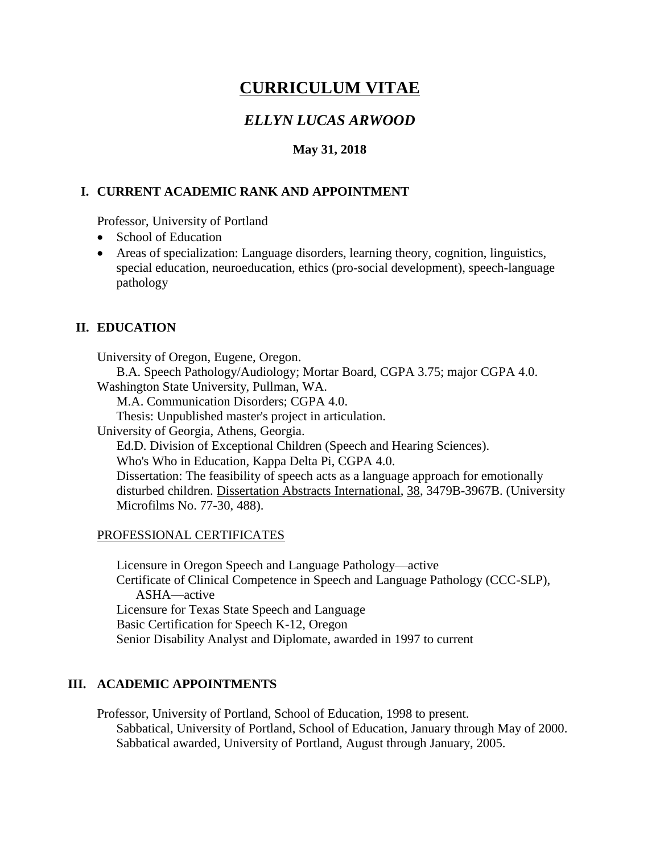# **CURRICULUM VITAE**

# *ELLYN LUCAS ARWOOD*

## **May 31, 2018**

#### **I. CURRENT ACADEMIC RANK AND APPOINTMENT**

Professor, University of Portland

- School of Education
- Areas of specialization: Language disorders, learning theory, cognition, linguistics, special education, neuroeducation, ethics (pro-social development), speech-language pathology

# **II. EDUCATION**

University of Oregon, Eugene, Oregon.

B.A. Speech Pathology/Audiology; Mortar Board, CGPA 3.75; major CGPA 4.0.

Washington State University, Pullman, WA.

M.A. Communication Disorders; CGPA 4.0.

Thesis: Unpublished master's project in articulation.

University of Georgia, Athens, Georgia.

Ed.D. Division of Exceptional Children (Speech and Hearing Sciences).

Who's Who in Education, Kappa Delta Pi, CGPA 4.0.

Dissertation: The feasibility of speech acts as a language approach for emotionally disturbed children. Dissertation Abstracts International, 38, 3479B-3967B. (University Microfilms No. 77-30, 488).

#### PROFESSIONAL CERTIFICATES

Licensure in Oregon Speech and Language Pathology—active Certificate of Clinical Competence in Speech and Language Pathology (CCC-SLP), ASHA—active Licensure for Texas State Speech and Language Basic Certification for Speech K-12, Oregon Senior Disability Analyst and Diplomate, awarded in 1997 to current

# **III. ACADEMIC APPOINTMENTS**

Professor, University of Portland, School of Education, 1998 to present. Sabbatical, University of Portland, School of Education, January through May of 2000. Sabbatical awarded, University of Portland, August through January, 2005.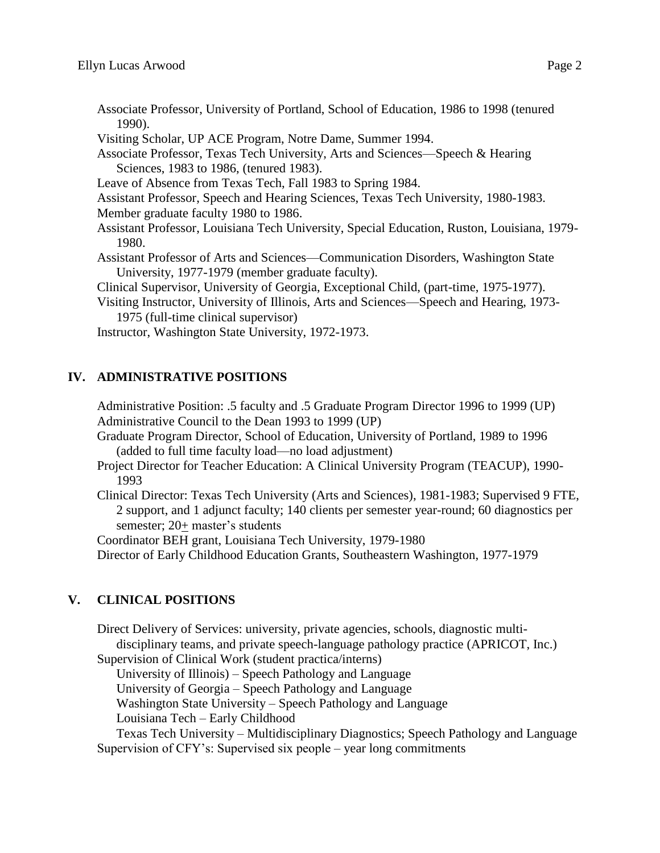- Associate Professor, University of Portland, School of Education, 1986 to 1998 (tenured 1990).
- Visiting Scholar, UP ACE Program, Notre Dame, Summer 1994.
- Associate Professor, Texas Tech University, Arts and Sciences—Speech & Hearing Sciences, 1983 to 1986, (tenured 1983).
- Leave of Absence from Texas Tech, Fall 1983 to Spring 1984.
- Assistant Professor, Speech and Hearing Sciences, Texas Tech University, 1980-1983.
- Member graduate faculty 1980 to 1986.
- Assistant Professor, Louisiana Tech University, Special Education, Ruston, Louisiana, 1979- 1980.
- Assistant Professor of Arts and Sciences—Communication Disorders, Washington State University, 1977-1979 (member graduate faculty).

Clinical Supervisor, University of Georgia, Exceptional Child, (part-time, 1975-1977).

Visiting Instructor, University of Illinois, Arts and Sciences—Speech and Hearing, 1973- 1975 (full-time clinical supervisor)

Instructor, Washington State University, 1972-1973.

# **IV. ADMINISTRATIVE POSITIONS**

Administrative Position: .5 faculty and .5 Graduate Program Director 1996 to 1999 (UP) Administrative Council to the Dean 1993 to 1999 (UP)

- Graduate Program Director, School of Education, University of Portland, 1989 to 1996 (added to full time faculty load—no load adjustment)
- Project Director for Teacher Education: A Clinical University Program (TEACUP), 1990- 1993
- Clinical Director: Texas Tech University (Arts and Sciences), 1981-1983; Supervised 9 FTE, 2 support, and 1 adjunct faculty; 140 clients per semester year-round; 60 diagnostics per semester; 20+ master's students

Coordinator BEH grant, Louisiana Tech University, 1979-1980

Director of Early Childhood Education Grants, Southeastern Washington, 1977-1979

# **V. CLINICAL POSITIONS**

Direct Delivery of Services: university, private agencies, schools, diagnostic multidisciplinary teams, and private speech-language pathology practice (APRICOT, Inc.) Supervision of Clinical Work (student practica/interns)

University of Illinois) – Speech Pathology and Language

University of Georgia – Speech Pathology and Language

Washington State University – Speech Pathology and Language

Louisiana Tech – Early Childhood

Texas Tech University – Multidisciplinary Diagnostics; Speech Pathology and Language Supervision of CFY's: Supervised six people – year long commitments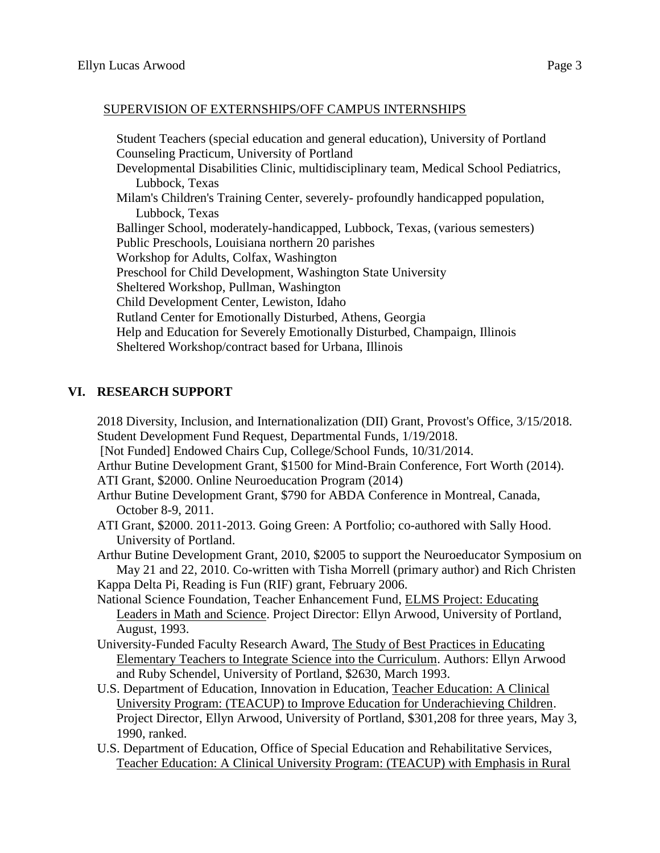## SUPERVISION OF EXTERNSHIPS/OFF CAMPUS INTERNSHIPS

Student Teachers (special education and general education), University of Portland Counseling Practicum, University of Portland Developmental Disabilities Clinic, multidisciplinary team, Medical School Pediatrics, Lubbock, Texas Milam's Children's Training Center, severely- profoundly handicapped population, Lubbock, Texas Ballinger School, moderately-handicapped, Lubbock, Texas, (various semesters) Public Preschools, Louisiana northern 20 parishes Workshop for Adults, Colfax, Washington Preschool for Child Development, Washington State University Sheltered Workshop, Pullman, Washington Child Development Center, Lewiston, Idaho Rutland Center for Emotionally Disturbed, Athens, Georgia Help and Education for Severely Emotionally Disturbed, Champaign, Illinois Sheltered Workshop/contract based for Urbana, Illinois

# **VI. RESEARCH SUPPORT**

2018 Diversity, Inclusion, and Internationalization (DII) Grant, Provost's Office, 3/15/2018. Student Development Fund Request, Departmental Funds, 1/19/2018. [Not Funded] Endowed Chairs Cup, College/School Funds, 10/31/2014. Arthur Butine Development Grant, \$1500 for Mind-Brain Conference, Fort Worth (2014). ATI Grant, \$2000. Online Neuroeducation Program (2014) Arthur Butine Development Grant, \$790 for ABDA Conference in Montreal, Canada, October 8-9, 2011. ATI Grant, \$2000. 2011-2013. Going Green: A Portfolio; co-authored with Sally Hood. University of Portland. Arthur Butine Development Grant, 2010, \$2005 to support the Neuroeducator Symposium on May 21 and 22, 2010. Co-written with Tisha Morrell (primary author) and Rich Christen Kappa Delta Pi, Reading is Fun (RIF) grant, February 2006. National Science Foundation, Teacher Enhancement Fund, ELMS Project: Educating Leaders in Math and Science. Project Director: Ellyn Arwood, University of Portland, August, 1993. University-Funded Faculty Research Award, The Study of Best Practices in Educating Elementary Teachers to Integrate Science into the Curriculum. Authors: Ellyn Arwood and Ruby Schendel, University of Portland, \$2630, March 1993.

- U.S. Department of Education, Innovation in Education, Teacher Education: A Clinical University Program: (TEACUP) to Improve Education for Underachieving Children. Project Director, Ellyn Arwood, University of Portland, \$301,208 for three years, May 3, 1990, ranked.
- U.S. Department of Education, Office of Special Education and Rehabilitative Services, Teacher Education: A Clinical University Program: (TEACUP) with Emphasis in Rural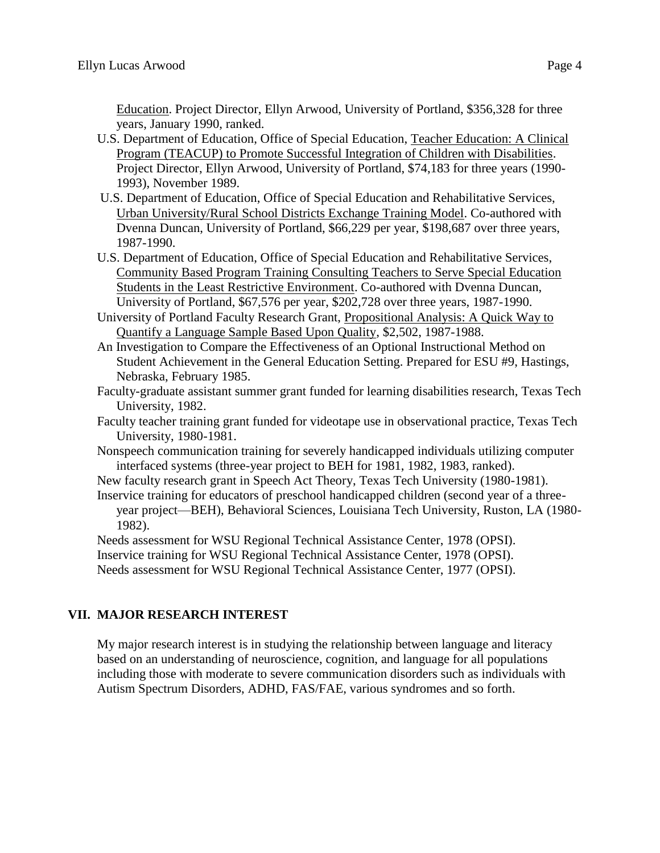Education. Project Director, Ellyn Arwood, University of Portland, \$356,328 for three years, January 1990, ranked.

- U.S. Department of Education, Office of Special Education, Teacher Education: A Clinical Program (TEACUP) to Promote Successful Integration of Children with Disabilities. Project Director, Ellyn Arwood, University of Portland, \$74,183 for three years (1990- 1993), November 1989.
- U.S. Department of Education, Office of Special Education and Rehabilitative Services, Urban University/Rural School Districts Exchange Training Model. Co-authored with Dvenna Duncan, University of Portland, \$66,229 per year, \$198,687 over three years, 1987-1990.
- U.S. Department of Education, Office of Special Education and Rehabilitative Services, Community Based Program Training Consulting Teachers to Serve Special Education Students in the Least Restrictive Environment. Co-authored with Dvenna Duncan, University of Portland, \$67,576 per year, \$202,728 over three years, 1987-1990.
- University of Portland Faculty Research Grant, Propositional Analysis: A Quick Way to Quantify a Language Sample Based Upon Quality, \$2,502, 1987-1988.
- An Investigation to Compare the Effectiveness of an Optional Instructional Method on Student Achievement in the General Education Setting. Prepared for ESU #9, Hastings, Nebraska, February 1985.
- Faculty-graduate assistant summer grant funded for learning disabilities research, Texas Tech University, 1982.
- Faculty teacher training grant funded for videotape use in observational practice, Texas Tech University, 1980-1981.
- Nonspeech communication training for severely handicapped individuals utilizing computer interfaced systems (three-year project to BEH for 1981, 1982, 1983, ranked).

New faculty research grant in Speech Act Theory, Texas Tech University (1980-1981). Inservice training for educators of preschool handicapped children (second year of a three-

year project—BEH), Behavioral Sciences, Louisiana Tech University, Ruston, LA (1980- 1982).

Needs assessment for WSU Regional Technical Assistance Center, 1978 (OPSI).

Inservice training for WSU Regional Technical Assistance Center, 1978 (OPSI).

Needs assessment for WSU Regional Technical Assistance Center, 1977 (OPSI).

# **VII. MAJOR RESEARCH INTEREST**

My major research interest is in studying the relationship between language and literacy based on an understanding of neuroscience, cognition, and language for all populations including those with moderate to severe communication disorders such as individuals with Autism Spectrum Disorders, ADHD, FAS/FAE, various syndromes and so forth.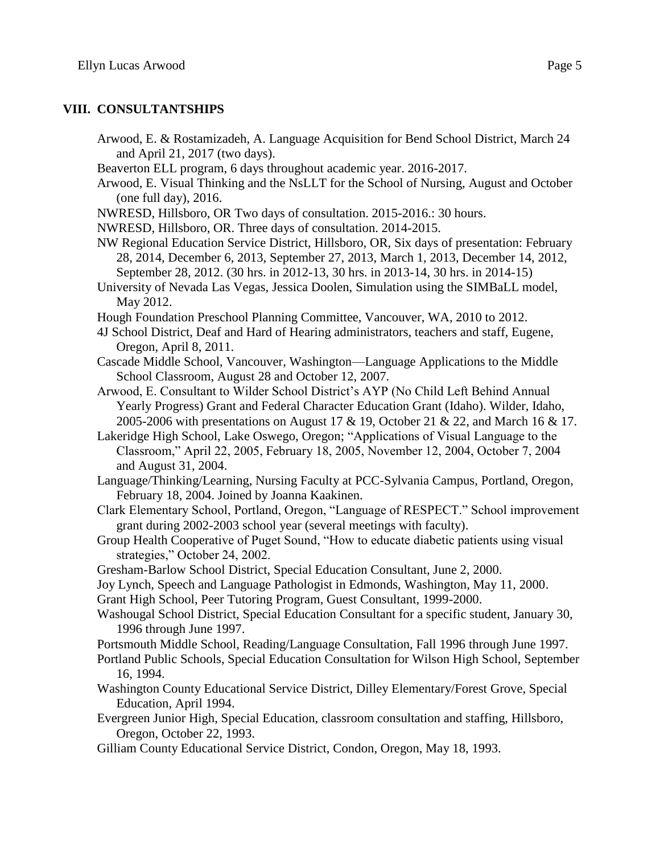#### **VIII. CONSULTANTSHIPS**

- Arwood, E. & Rostamizadeh, A. Language Acquisition for Bend School District, March 24 and April 21, 2017 (two days).
- Beaverton ELL program, 6 days throughout academic year. 2016-2017.
- Arwood, E. Visual Thinking and the NsLLT for the School of Nursing, August and October (one full day), 2016.
- NWRESD, Hillsboro, OR Two days of consultation. 2015-2016.: 30 hours.
- NWRESD, Hillsboro, OR. Three days of consultation. 2014-2015.
- NW Regional Education Service District, Hillsboro, OR, Six days of presentation: February 28, 2014, December 6, 2013, September 27, 2013, March 1, 2013, December 14, 2012, September 28, 2012. (30 hrs. in 2012-13, 30 hrs. in 2013-14, 30 hrs. in 2014-15)
- University of Nevada Las Vegas, Jessica Doolen, Simulation using the SIMBaLL model, May 2012.
- Hough Foundation Preschool Planning Committee, Vancouver, WA, 2010 to 2012.
- 4J School District, Deaf and Hard of Hearing administrators, teachers and staff, Eugene, Oregon, April 8, 2011.
- Cascade Middle School, Vancouver, Washington—Language Applications to the Middle School Classroom, August 28 and October 12, 2007.
- Arwood, E. Consultant to Wilder School District's AYP (No Child Left Behind Annual Yearly Progress) Grant and Federal Character Education Grant (Idaho). Wilder, Idaho, 2005-2006 with presentations on August 17 & 19, October 21 & 22, and March 16 & 17.
- Lakeridge High School, Lake Oswego, Oregon; "Applications of Visual Language to the Classroom," April 22, 2005, February 18, 2005, November 12, 2004, October 7, 2004 and August 31, 2004.
- Language/Thinking/Learning, Nursing Faculty at PCC-Sylvania Campus, Portland, Oregon, February 18, 2004. Joined by Joanna Kaakinen.
- Clark Elementary School, Portland, Oregon, "Language of RESPECT." School improvement grant during 2002-2003 school year (several meetings with faculty).
- Group Health Cooperative of Puget Sound, "How to educate diabetic patients using visual strategies," October 24, 2002.
- Gresham-Barlow School District, Special Education Consultant, June 2, 2000.
- Joy Lynch, Speech and Language Pathologist in Edmonds, Washington, May 11, 2000.
- Grant High School, Peer Tutoring Program, Guest Consultant, 1999-2000.
- Washougal School District, Special Education Consultant for a specific student, January 30, 1996 through June 1997.
- Portsmouth Middle School, Reading/Language Consultation, Fall 1996 through June 1997.
- Portland Public Schools, Special Education Consultation for Wilson High School, September 16, 1994.
- Washington County Educational Service District, Dilley Elementary/Forest Grove, Special Education, April 1994.
- Evergreen Junior High, Special Education, classroom consultation and staffing, Hillsboro, Oregon, October 22, 1993.
- Gilliam County Educational Service District, Condon, Oregon, May 18, 1993.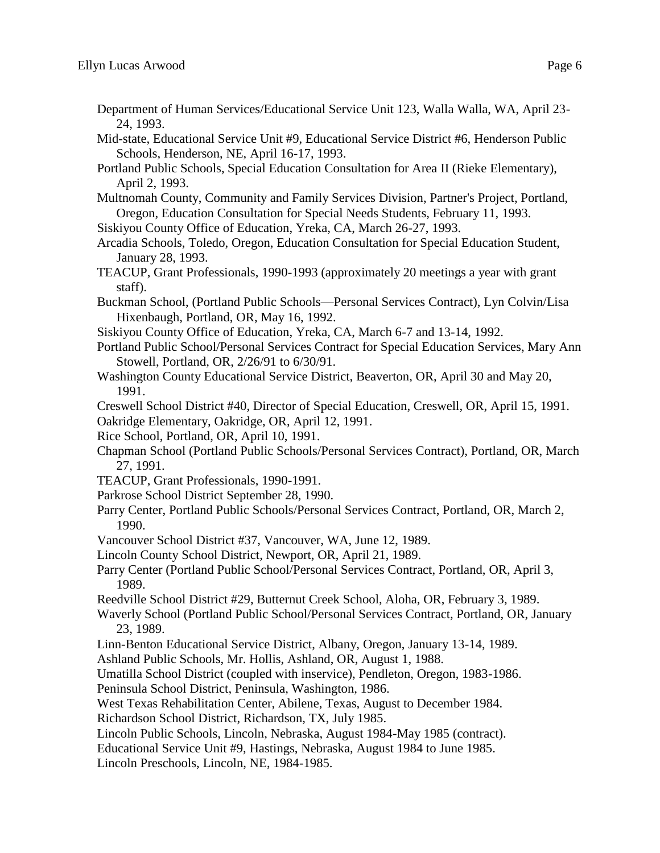- Department of Human Services/Educational Service Unit 123, Walla Walla, WA, April 23- 24, 1993.
- Mid-state, Educational Service Unit #9, Educational Service District #6, Henderson Public Schools, Henderson, NE, April 16-17, 1993.
- Portland Public Schools, Special Education Consultation for Area II (Rieke Elementary), April 2, 1993.
- Multnomah County, Community and Family Services Division, Partner's Project, Portland, Oregon, Education Consultation for Special Needs Students, February 11, 1993.
- Siskiyou County Office of Education, Yreka, CA, March 26-27, 1993.
- Arcadia Schools, Toledo, Oregon, Education Consultation for Special Education Student, January 28, 1993.
- TEACUP, Grant Professionals, 1990-1993 (approximately 20 meetings a year with grant staff).
- Buckman School, (Portland Public Schools—Personal Services Contract), Lyn Colvin/Lisa Hixenbaugh, Portland, OR, May 16, 1992.
- Siskiyou County Office of Education, Yreka, CA, March 6-7 and 13-14, 1992.
- Portland Public School/Personal Services Contract for Special Education Services, Mary Ann Stowell, Portland, OR, 2/26/91 to 6/30/91.
- Washington County Educational Service District, Beaverton, OR, April 30 and May 20, 1991.
- Creswell School District #40, Director of Special Education, Creswell, OR, April 15, 1991.
- Oakridge Elementary, Oakridge, OR, April 12, 1991.
- Rice School, Portland, OR, April 10, 1991.
- Chapman School (Portland Public Schools/Personal Services Contract), Portland, OR, March 27, 1991.
- TEACUP, Grant Professionals, 1990-1991.
- Parkrose School District September 28, 1990.
- Parry Center, Portland Public Schools/Personal Services Contract, Portland, OR, March 2, 1990.
- Vancouver School District #37, Vancouver, WA, June 12, 1989.
- Lincoln County School District, Newport, OR, April 21, 1989.
- Parry Center (Portland Public School/Personal Services Contract, Portland, OR, April 3, 1989.
- Reedville School District #29, Butternut Creek School, Aloha, OR, February 3, 1989.
- Waverly School (Portland Public School/Personal Services Contract, Portland, OR, January 23, 1989.
- Linn-Benton Educational Service District, Albany, Oregon, January 13-14, 1989.
- Ashland Public Schools, Mr. Hollis, Ashland, OR, August 1, 1988.
- Umatilla School District (coupled with inservice), Pendleton, Oregon, 1983-1986.
- Peninsula School District, Peninsula, Washington, 1986.
- West Texas Rehabilitation Center, Abilene, Texas, August to December 1984.
- Richardson School District, Richardson, TX, July 1985.
- Lincoln Public Schools, Lincoln, Nebraska, August 1984-May 1985 (contract).
- Educational Service Unit #9, Hastings, Nebraska, August 1984 to June 1985.

Lincoln Preschools, Lincoln, NE, 1984-1985.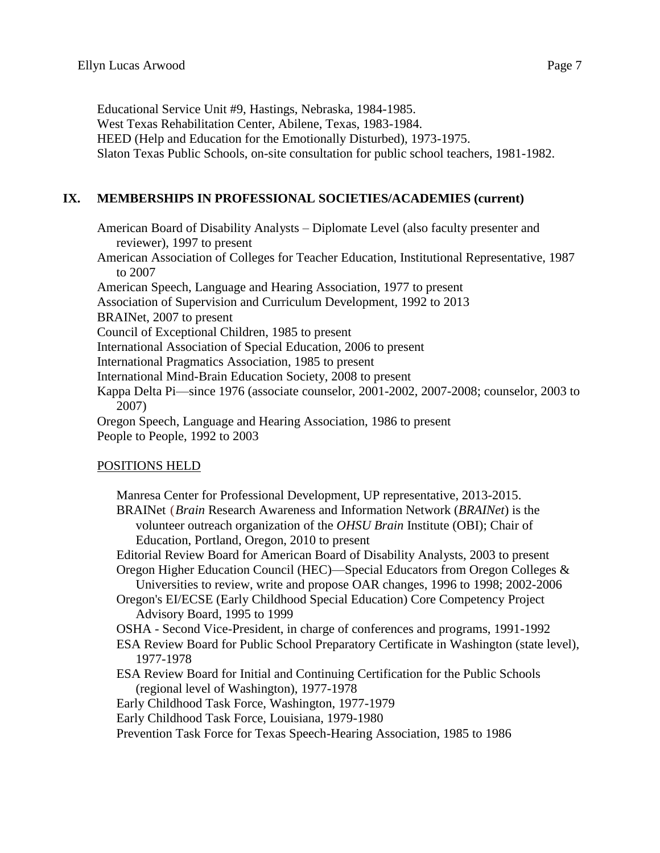Educational Service Unit #9, Hastings, Nebraska, 1984-1985. West Texas Rehabilitation Center, Abilene, Texas, 1983-1984. HEED (Help and Education for the Emotionally Disturbed), 1973-1975. Slaton Texas Public Schools, on-site consultation for public school teachers, 1981-1982.

# **IX. MEMBERSHIPS IN PROFESSIONAL SOCIETIES/ACADEMIES (current)**

American Board of Disability Analysts – Diplomate Level (also faculty presenter and reviewer), 1997 to present

American Association of Colleges for Teacher Education, Institutional Representative, 1987 to 2007

American Speech, Language and Hearing Association, 1977 to present Association of Supervision and Curriculum Development, 1992 to 2013

BRAINet, 2007 to present

Council of Exceptional Children, 1985 to present

International Association of Special Education, 2006 to present

International Pragmatics Association, 1985 to present

International Mind-Brain Education Society, 2008 to present

Kappa Delta Pi—since 1976 (associate counselor, 2001-2002, 2007-2008; counselor, 2003 to 2007)

Oregon Speech, Language and Hearing Association, 1986 to present People to People, 1992 to 2003

# POSITIONS HELD

Manresa Center for Professional Development, UP representative, 2013-2015. BRAINet (*Brain* Research Awareness and Information Network (*BRAINet*) is the volunteer outreach organization of the *OHSU Brain* Institute (OBI); Chair of Education, Portland, Oregon, 2010 to present Editorial Review Board for American Board of Disability Analysts, 2003 to present Oregon Higher Education Council (HEC)—Special Educators from Oregon Colleges & Universities to review, write and propose OAR changes, 1996 to 1998; 2002-2006 Oregon's EI/ECSE (Early Childhood Special Education) Core Competency Project Advisory Board, 1995 to 1999 OSHA - Second Vice-President, in charge of conferences and programs, 1991-1992 ESA Review Board for Public School Preparatory Certificate in Washington (state level), 1977-1978 ESA Review Board for Initial and Continuing Certification for the Public Schools (regional level of Washington), 1977-1978 Early Childhood Task Force, Washington, 1977-1979 Early Childhood Task Force, Louisiana, 1979-1980 Prevention Task Force for Texas Speech-Hearing Association, 1985 to 1986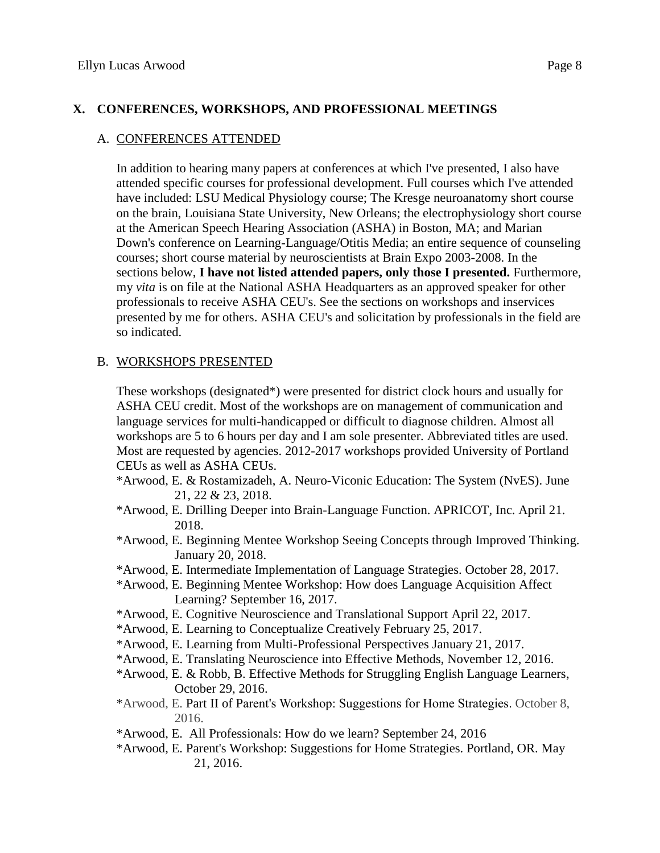## **X. CONFERENCES, WORKSHOPS, AND PROFESSIONAL MEETINGS**

#### A. CONFERENCES ATTENDED

In addition to hearing many papers at conferences at which I've presented, I also have attended specific courses for professional development. Full courses which I've attended have included: LSU Medical Physiology course; The Kresge neuroanatomy short course on the brain, Louisiana State University, New Orleans; the electrophysiology short course at the American Speech Hearing Association (ASHA) in Boston, MA; and Marian Down's conference on Learning-Language/Otitis Media; an entire sequence of counseling courses; short course material by neuroscientists at Brain Expo 2003-2008. In the sections below, **I have not listed attended papers, only those I presented.** Furthermore, my *vita* is on file at the National ASHA Headquarters as an approved speaker for other professionals to receive ASHA CEU's. See the sections on workshops and inservices presented by me for others. ASHA CEU's and solicitation by professionals in the field are so indicated.

#### B. WORKSHOPS PRESENTED

These workshops (designated\*) were presented for district clock hours and usually for ASHA CEU credit. Most of the workshops are on management of communication and language services for multi-handicapped or difficult to diagnose children. Almost all workshops are 5 to 6 hours per day and I am sole presenter. Abbreviated titles are used. Most are requested by agencies. 2012-2017 workshops provided University of Portland CEUs as well as ASHA CEUs.

- \*Arwood, E. & Rostamizadeh, A. Neuro-Viconic Education: The System (NvES). June 21, 22 & 23, 2018.
- \*Arwood, E. Drilling Deeper into Brain-Language Function. APRICOT, Inc. April 21. 2018.
- \*Arwood, E. Beginning Mentee Workshop Seeing Concepts through Improved Thinking. January 20, 2018.
- \*Arwood, E. Intermediate Implementation of Language Strategies. October 28, 2017.
- \*Arwood, E. Beginning Mentee Workshop: How does Language Acquisition Affect Learning? September 16, 2017.
- \*Arwood, E. Cognitive Neuroscience and Translational Support April 22, 2017.
- \*Arwood, E. Learning to Conceptualize Creatively February 25, 2017.
- \*Arwood, E. Learning from Multi-Professional Perspectives January 21, 2017.
- \*Arwood, E. Translating Neuroscience into Effective Methods, November 12, 2016.
- \*Arwood, E. & Robb, B. Effective Methods for Struggling English Language Learners, October 29, 2016.
- \*Arwood, E. Part II of Parent's Workshop: Suggestions for Home Strategies. October 8, 2016.
- \*Arwood, E. All Professionals: How do we learn? September 24, 2016
- \*Arwood, E. Parent's Workshop: Suggestions for Home Strategies. Portland, OR. May 21, 2016.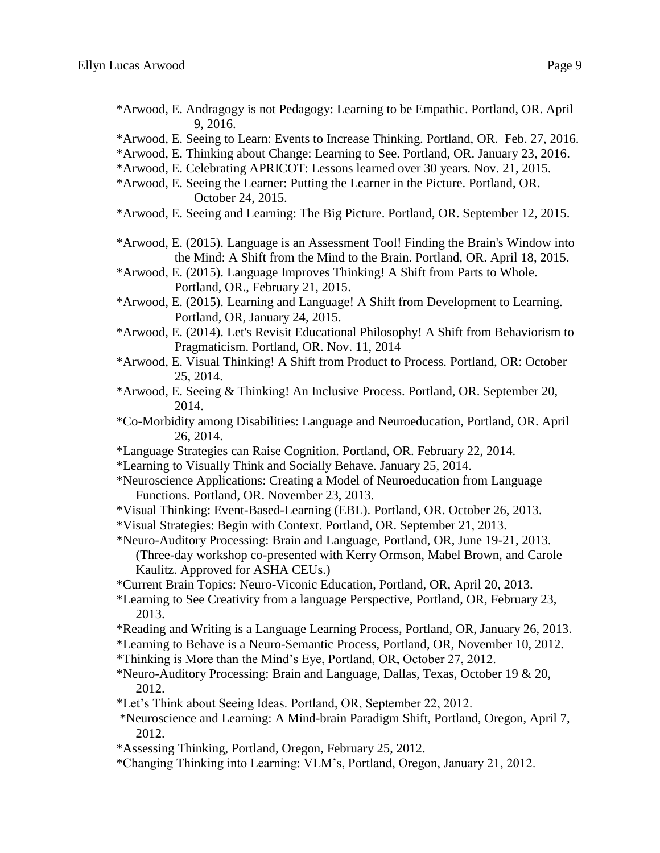- \*Arwood, E. Andragogy is not Pedagogy: Learning to be Empathic. Portland, OR. April 9, 2016.
- \*Arwood, E. Seeing to Learn: Events to Increase Thinking. Portland, OR. Feb. 27, 2016.
- \*Arwood, E. Thinking about Change: Learning to See. Portland, OR. January 23, 2016.
- \*Arwood, E. Celebrating APRICOT: Lessons learned over 30 years. Nov. 21, 2015.
- \*Arwood, E. Seeing the Learner: Putting the Learner in the Picture. Portland, OR. October 24, 2015.
- \*Arwood, E. Seeing and Learning: The Big Picture. Portland, OR. September 12, 2015.
- \*Arwood, E. (2015). Language is an Assessment Tool! Finding the Brain's Window into the Mind: A Shift from the Mind to the Brain. Portland, OR. April 18, 2015.
- \*Arwood, E. (2015). Language Improves Thinking! A Shift from Parts to Whole. Portland, OR., February 21, 2015.
- \*Arwood, E. (2015). Learning and Language! A Shift from Development to Learning. Portland, OR, January 24, 2015.
- \*Arwood, E. (2014). Let's Revisit Educational Philosophy! A Shift from Behaviorism to Pragmaticism. Portland, OR. Nov. 11, 2014
- \*Arwood, E. Visual Thinking! A Shift from Product to Process. Portland, OR: October 25, 2014.
- \*Arwood, E. Seeing & Thinking! An Inclusive Process. Portland, OR. September 20, 2014.
- \*Co-Morbidity among Disabilities: Language and Neuroeducation, Portland, OR. April 26, 2014.
- \*Language Strategies can Raise Cognition. Portland, OR. February 22, 2014.
- \*Learning to Visually Think and Socially Behave. January 25, 2014.
- \*Neuroscience Applications: Creating a Model of Neuroeducation from Language Functions. Portland, OR. November 23, 2013.
- \*Visual Thinking: Event-Based-Learning (EBL). Portland, OR. October 26, 2013.
- \*Visual Strategies: Begin with Context. Portland, OR. September 21, 2013.
- \*Neuro-Auditory Processing: Brain and Language, Portland, OR, June 19-21, 2013. (Three-day workshop co-presented with Kerry Ormson, Mabel Brown, and Carole Kaulitz. Approved for ASHA CEUs.)
- \*Current Brain Topics: Neuro-Viconic Education, Portland, OR, April 20, 2013.
- \*Learning to See Creativity from a language Perspective, Portland, OR, February 23, 2013.
- \*Reading and Writing is a Language Learning Process, Portland, OR, January 26, 2013.
- \*Learning to Behave is a Neuro-Semantic Process, Portland, OR, November 10, 2012.
- \*Thinking is More than the Mind's Eye, Portland, OR, October 27, 2012.
- \*Neuro-Auditory Processing: Brain and Language, Dallas, Texas, October 19 & 20, 2012.
- \*Let's Think about Seeing Ideas. Portland, OR, September 22, 2012.
- \*Neuroscience and Learning: A Mind-brain Paradigm Shift, Portland, Oregon, April 7, 2012.
- \*Assessing Thinking, Portland, Oregon, February 25, 2012.
- \*Changing Thinking into Learning: VLM's, Portland, Oregon, January 21, 2012.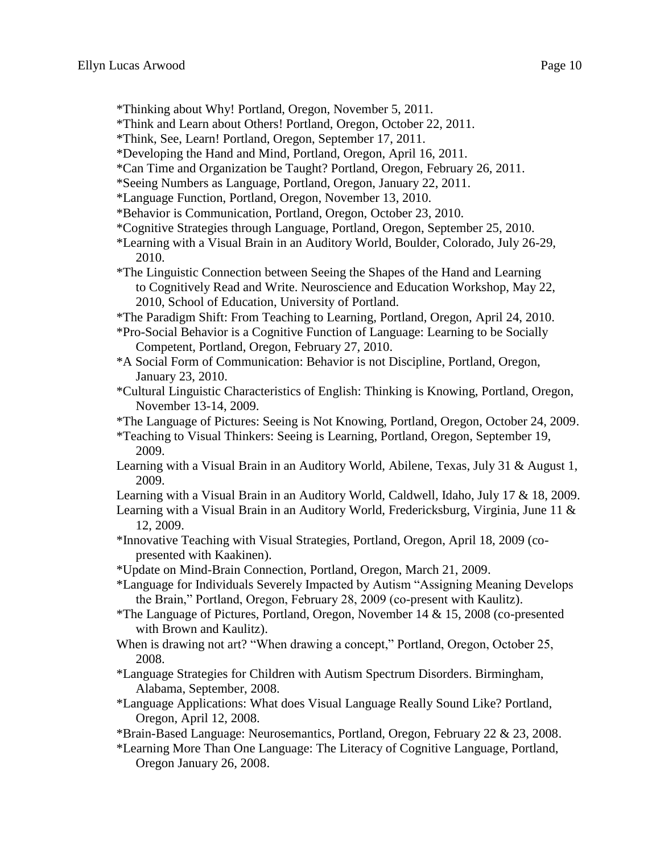- \*Thinking about Why! Portland, Oregon, November 5, 2011.
- \*Think and Learn about Others! Portland, Oregon, October 22, 2011.
- \*Think, See, Learn! Portland, Oregon, September 17, 2011.
- \*Developing the Hand and Mind, Portland, Oregon, April 16, 2011.
- \*Can Time and Organization be Taught? Portland, Oregon, February 26, 2011.
- \*Seeing Numbers as Language, Portland, Oregon, January 22, 2011.
- \*Language Function, Portland, Oregon, November 13, 2010.
- \*Behavior is Communication, Portland, Oregon, October 23, 2010.
- \*Cognitive Strategies through Language, Portland, Oregon, September 25, 2010.
- \*Learning with a Visual Brain in an Auditory World, Boulder, Colorado, July 26-29, 2010.
- \*The Linguistic Connection between Seeing the Shapes of the Hand and Learning to Cognitively Read and Write. Neuroscience and Education Workshop, May 22, 2010, School of Education, University of Portland.
- \*The Paradigm Shift: From Teaching to Learning, Portland, Oregon, April 24, 2010.
- \*Pro-Social Behavior is a Cognitive Function of Language: Learning to be Socially Competent, Portland, Oregon, February 27, 2010.
- \*A Social Form of Communication: Behavior is not Discipline, Portland, Oregon, January 23, 2010.
- \*Cultural Linguistic Characteristics of English: Thinking is Knowing, Portland, Oregon, November 13-14, 2009.
- \*The Language of Pictures: Seeing is Not Knowing, Portland, Oregon, October 24, 2009.
- \*Teaching to Visual Thinkers: Seeing is Learning, Portland, Oregon, September 19, 2009.
- Learning with a Visual Brain in an Auditory World, Abilene, Texas, July 31 & August 1, 2009.
- Learning with a Visual Brain in an Auditory World, Caldwell, Idaho, July 17 & 18, 2009.
- Learning with a Visual Brain in an Auditory World, Fredericksburg, Virginia, June 11 & 12, 2009.
- \*Innovative Teaching with Visual Strategies, Portland, Oregon, April 18, 2009 (copresented with Kaakinen).
- \*Update on Mind-Brain Connection, Portland, Oregon, March 21, 2009.
- \*Language for Individuals Severely Impacted by Autism "Assigning Meaning Develops the Brain," Portland, Oregon, February 28, 2009 (co-present with Kaulitz).
- \*The Language of Pictures, Portland, Oregon, November 14 & 15, 2008 (co-presented with Brown and Kaulitz).
- When is drawing not art? "When drawing a concept," Portland, Oregon, October 25, 2008.
- \*Language Strategies for Children with Autism Spectrum Disorders. Birmingham, Alabama, September, 2008.
- \*Language Applications: What does Visual Language Really Sound Like? Portland, Oregon, April 12, 2008.
- \*Brain-Based Language: Neurosemantics, Portland, Oregon, February 22 & 23, 2008.
- \*Learning More Than One Language: The Literacy of Cognitive Language, Portland, Oregon January 26, 2008.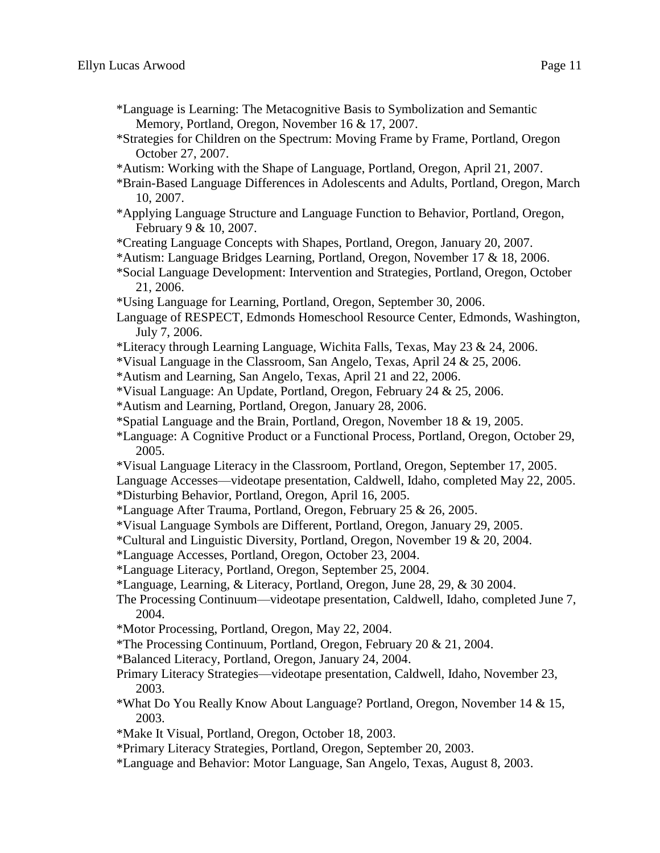- \*Language is Learning: The Metacognitive Basis to Symbolization and Semantic Memory, Portland, Oregon, November 16 & 17, 2007.
- \*Strategies for Children on the Spectrum: Moving Frame by Frame, Portland, Oregon October 27, 2007.
- \*Autism: Working with the Shape of Language, Portland, Oregon, April 21, 2007.
- \*Brain-Based Language Differences in Adolescents and Adults, Portland, Oregon, March 10, 2007.
- \*Applying Language Structure and Language Function to Behavior, Portland, Oregon, February 9 & 10, 2007.
- \*Creating Language Concepts with Shapes, Portland, Oregon, January 20, 2007.
- \*Autism: Language Bridges Learning, Portland, Oregon, November 17 & 18, 2006.
- \*Social Language Development: Intervention and Strategies, Portland, Oregon, October 21, 2006.
- \*Using Language for Learning, Portland, Oregon, September 30, 2006.
- Language of RESPECT, Edmonds Homeschool Resource Center, Edmonds, Washington, July 7, 2006.
- \*Literacy through Learning Language, Wichita Falls, Texas, May 23 & 24, 2006.
- \*Visual Language in the Classroom, San Angelo, Texas, April 24 & 25, 2006.
- \*Autism and Learning, San Angelo, Texas, April 21 and 22, 2006.
- \*Visual Language: An Update, Portland, Oregon, February 24 & 25, 2006.
- \*Autism and Learning, Portland, Oregon, January 28, 2006.
- \*Spatial Language and the Brain, Portland, Oregon, November 18 & 19, 2005.
- \*Language: A Cognitive Product or a Functional Process, Portland, Oregon, October 29, 2005.
- \*Visual Language Literacy in the Classroom, Portland, Oregon, September 17, 2005.
- Language Accesses—videotape presentation, Caldwell, Idaho, completed May 22, 2005.
- \*Disturbing Behavior, Portland, Oregon, April 16, 2005.
- \*Language After Trauma, Portland, Oregon, February 25 & 26, 2005.
- \*Visual Language Symbols are Different, Portland, Oregon, January 29, 2005.
- \*Cultural and Linguistic Diversity, Portland, Oregon, November 19 & 20, 2004.
- \*Language Accesses, Portland, Oregon, October 23, 2004.
- \*Language Literacy, Portland, Oregon, September 25, 2004.
- \*Language, Learning, & Literacy, Portland, Oregon, June 28, 29, & 30 2004.
- The Processing Continuum—videotape presentation, Caldwell, Idaho, completed June 7, 2004.
- \*Motor Processing, Portland, Oregon, May 22, 2004.
- \*The Processing Continuum, Portland, Oregon, February 20 & 21, 2004.
- \*Balanced Literacy, Portland, Oregon, January 24, 2004.
- Primary Literacy Strategies—videotape presentation, Caldwell, Idaho, November 23, 2003.
- \*What Do You Really Know About Language? Portland, Oregon, November 14 & 15, 2003.
- \*Make It Visual, Portland, Oregon, October 18, 2003.
- \*Primary Literacy Strategies, Portland, Oregon, September 20, 2003.
- \*Language and Behavior: Motor Language, San Angelo, Texas, August 8, 2003.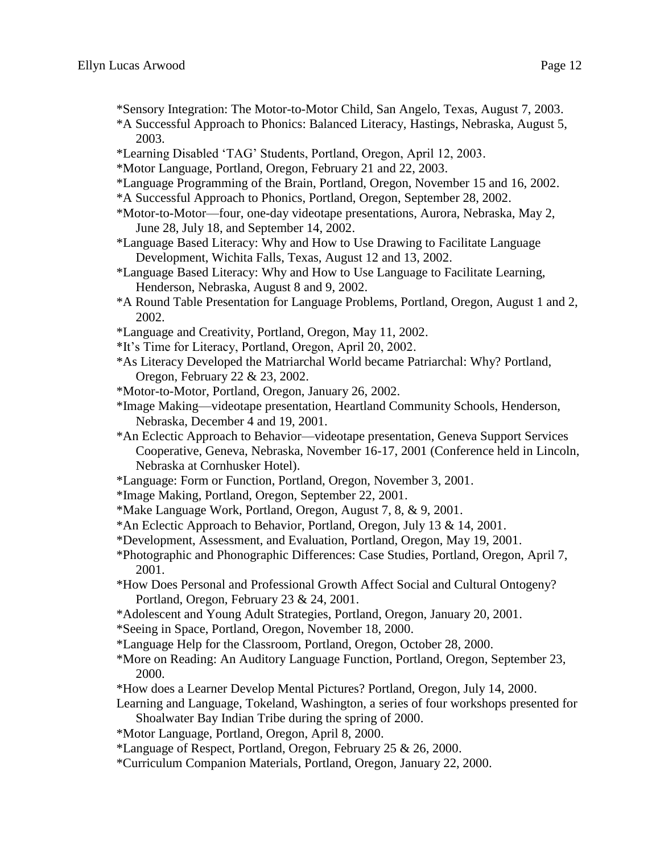- \*Sensory Integration: The Motor-to-Motor Child, San Angelo, Texas, August 7, 2003.
- \*A Successful Approach to Phonics: Balanced Literacy, Hastings, Nebraska, August 5, 2003.
- \*Learning Disabled 'TAG' Students, Portland, Oregon, April 12, 2003.
- \*Motor Language, Portland, Oregon, February 21 and 22, 2003.
- \*Language Programming of the Brain, Portland, Oregon, November 15 and 16, 2002.
- \*A Successful Approach to Phonics, Portland, Oregon, September 28, 2002.
- \*Motor-to-Motor—four, one-day videotape presentations, Aurora, Nebraska, May 2, June 28, July 18, and September 14, 2002.
- \*Language Based Literacy: Why and How to Use Drawing to Facilitate Language Development, Wichita Falls, Texas, August 12 and 13, 2002.
- \*Language Based Literacy: Why and How to Use Language to Facilitate Learning, Henderson, Nebraska, August 8 and 9, 2002.
- \*A Round Table Presentation for Language Problems, Portland, Oregon, August 1 and 2, 2002.
- \*Language and Creativity, Portland, Oregon, May 11, 2002.
- \*It's Time for Literacy, Portland, Oregon, April 20, 2002.
- \*As Literacy Developed the Matriarchal World became Patriarchal: Why? Portland, Oregon, February 22 & 23, 2002.
- \*Motor-to-Motor, Portland, Oregon, January 26, 2002.
- \*Image Making—videotape presentation, Heartland Community Schools, Henderson, Nebraska, December 4 and 19, 2001.
- \*An Eclectic Approach to Behavior—videotape presentation, Geneva Support Services Cooperative, Geneva, Nebraska, November 16-17, 2001 (Conference held in Lincoln, Nebraska at Cornhusker Hotel).
- \*Language: Form or Function, Portland, Oregon, November 3, 2001.
- \*Image Making, Portland, Oregon, September 22, 2001.
- \*Make Language Work, Portland, Oregon, August 7, 8, & 9, 2001.
- \*An Eclectic Approach to Behavior, Portland, Oregon, July 13 & 14, 2001.
- \*Development, Assessment, and Evaluation, Portland, Oregon, May 19, 2001.
- \*Photographic and Phonographic Differences: Case Studies, Portland, Oregon, April 7, 2001.
- \*How Does Personal and Professional Growth Affect Social and Cultural Ontogeny? Portland, Oregon, February 23 & 24, 2001.
- \*Adolescent and Young Adult Strategies, Portland, Oregon, January 20, 2001.
- \*Seeing in Space, Portland, Oregon, November 18, 2000.
- \*Language Help for the Classroom, Portland, Oregon, October 28, 2000.
- \*More on Reading: An Auditory Language Function, Portland, Oregon, September 23, 2000.
- \*How does a Learner Develop Mental Pictures? Portland, Oregon, July 14, 2000.
- Learning and Language, Tokeland, Washington, a series of four workshops presented for Shoalwater Bay Indian Tribe during the spring of 2000.
- \*Motor Language, Portland, Oregon, April 8, 2000.
- \*Language of Respect, Portland, Oregon, February 25 & 26, 2000.
- \*Curriculum Companion Materials, Portland, Oregon, January 22, 2000.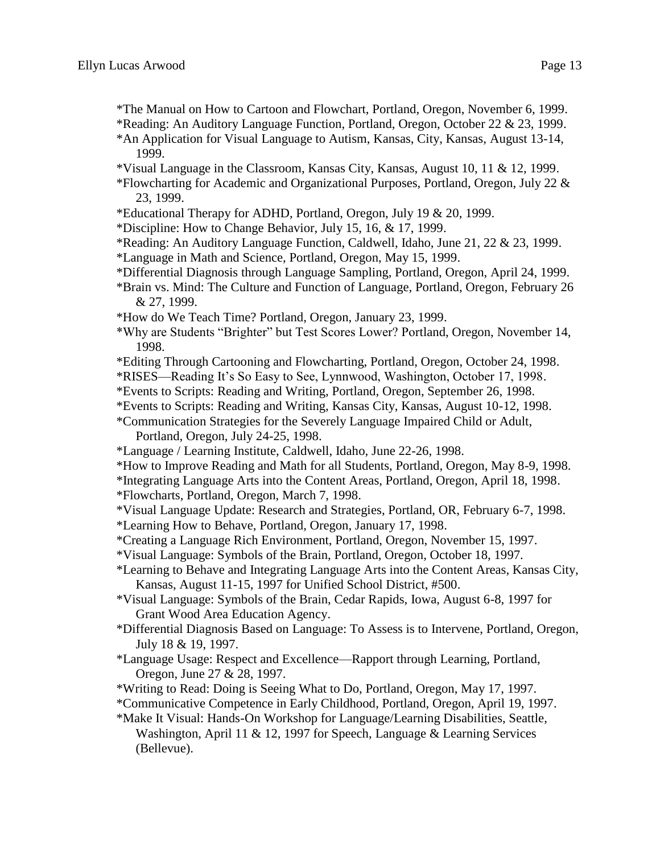- \*The Manual on How to Cartoon and Flowchart, Portland, Oregon, November 6, 1999.
- \*Reading: An Auditory Language Function, Portland, Oregon, October 22 & 23, 1999.
- \*An Application for Visual Language to Autism, Kansas, City, Kansas, August 13-14, 1999.
- \*Visual Language in the Classroom, Kansas City, Kansas, August 10, 11 & 12, 1999.
- \*Flowcharting for Academic and Organizational Purposes, Portland, Oregon, July 22 & 23, 1999.
- \*Educational Therapy for ADHD, Portland, Oregon, July 19 & 20, 1999.
- \*Discipline: How to Change Behavior, July 15, 16, & 17, 1999.
- \*Reading: An Auditory Language Function, Caldwell, Idaho, June 21, 22 & 23, 1999.
- \*Language in Math and Science, Portland, Oregon, May 15, 1999.
- \*Differential Diagnosis through Language Sampling, Portland, Oregon, April 24, 1999.
- \*Brain vs. Mind: The Culture and Function of Language, Portland, Oregon, February 26 & 27, 1999.
- \*How do We Teach Time? Portland, Oregon, January 23, 1999.
- \*Why are Students "Brighter" but Test Scores Lower? Portland, Oregon, November 14, 1998.
- \*Editing Through Cartooning and Flowcharting, Portland, Oregon, October 24, 1998.
- \*RISES—Reading It's So Easy to See, Lynnwood, Washington, October 17, 1998.
- \*Events to Scripts: Reading and Writing, Portland, Oregon, September 26, 1998.
- \*Events to Scripts: Reading and Writing, Kansas City, Kansas, August 10-12, 1998.

\*Communication Strategies for the Severely Language Impaired Child or Adult, Portland, Oregon, July 24-25, 1998.

- \*Language / Learning Institute, Caldwell, Idaho, June 22-26, 1998.
- \*How to Improve Reading and Math for all Students, Portland, Oregon, May 8-9, 1998.
- \*Integrating Language Arts into the Content Areas, Portland, Oregon, April 18, 1998.
- \*Flowcharts, Portland, Oregon, March 7, 1998.
- \*Visual Language Update: Research and Strategies, Portland, OR, February 6-7, 1998.
- \*Learning How to Behave, Portland, Oregon, January 17, 1998.
- \*Creating a Language Rich Environment, Portland, Oregon, November 15, 1997.
- \*Visual Language: Symbols of the Brain, Portland, Oregon, October 18, 1997.
- \*Learning to Behave and Integrating Language Arts into the Content Areas, Kansas City, Kansas, August 11-15, 1997 for Unified School District, #500.
- \*Visual Language: Symbols of the Brain, Cedar Rapids, Iowa, August 6-8, 1997 for Grant Wood Area Education Agency.
- \*Differential Diagnosis Based on Language: To Assess is to Intervene, Portland, Oregon, July 18 & 19, 1997.
- \*Language Usage: Respect and Excellence—Rapport through Learning, Portland, Oregon, June 27 & 28, 1997.
- \*Writing to Read: Doing is Seeing What to Do, Portland, Oregon, May 17, 1997.
- \*Communicative Competence in Early Childhood, Portland, Oregon, April 19, 1997.
- \*Make It Visual: Hands-On Workshop for Language/Learning Disabilities, Seattle, Washington, April 11 & 12, 1997 for Speech, Language & Learning Services (Bellevue).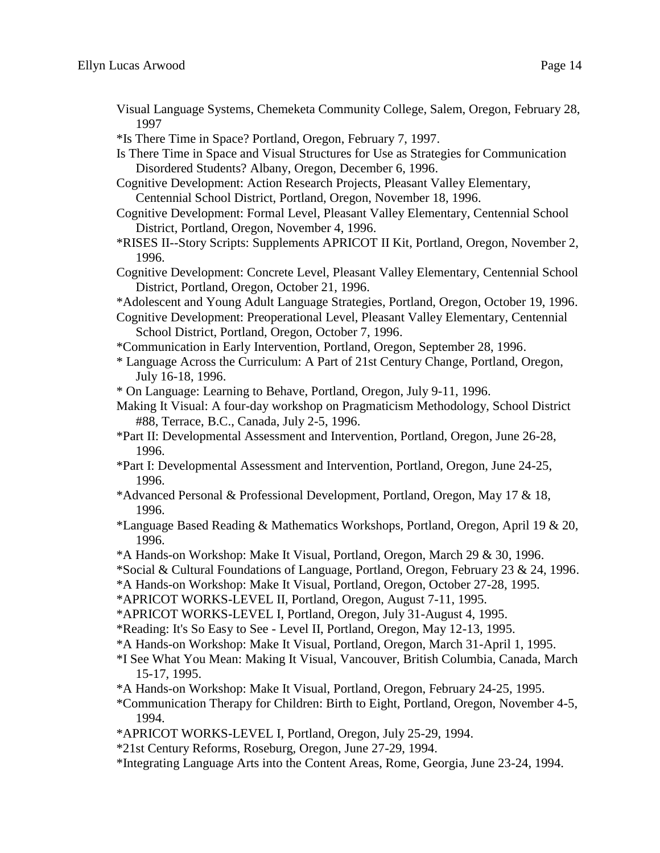- Visual Language Systems, Chemeketa Community College, Salem, Oregon, February 28, 1997
- \*Is There Time in Space? Portland, Oregon, February 7, 1997.
- Is There Time in Space and Visual Structures for Use as Strategies for Communication Disordered Students? Albany, Oregon, December 6, 1996.
- Cognitive Development: Action Research Projects, Pleasant Valley Elementary, Centennial School District, Portland, Oregon, November 18, 1996.
- Cognitive Development: Formal Level, Pleasant Valley Elementary, Centennial School District, Portland, Oregon, November 4, 1996.
- \*RISES II--Story Scripts: Supplements APRICOT II Kit, Portland, Oregon, November 2, 1996.
- Cognitive Development: Concrete Level, Pleasant Valley Elementary, Centennial School District, Portland, Oregon, October 21, 1996.
- \*Adolescent and Young Adult Language Strategies, Portland, Oregon, October 19, 1996.
- Cognitive Development: Preoperational Level, Pleasant Valley Elementary, Centennial School District, Portland, Oregon, October 7, 1996.
- \*Communication in Early Intervention, Portland, Oregon, September 28, 1996.
- \* Language Across the Curriculum: A Part of 21st Century Change, Portland, Oregon, July 16-18, 1996.

\* On Language: Learning to Behave, Portland, Oregon, July 9-11, 1996.

- Making It Visual: A four-day workshop on Pragmaticism Methodology, School District #88, Terrace, B.C., Canada, July 2-5, 1996.
- \*Part II: Developmental Assessment and Intervention, Portland, Oregon, June 26-28, 1996.
- \*Part I: Developmental Assessment and Intervention, Portland, Oregon, June 24-25, 1996.
- \*Advanced Personal & Professional Development, Portland, Oregon, May 17 & 18, 1996.
- \*Language Based Reading & Mathematics Workshops, Portland, Oregon, April 19 & 20, 1996.
- \*A Hands-on Workshop: Make It Visual, Portland, Oregon, March 29 & 30, 1996.
- \*Social & Cultural Foundations of Language, Portland, Oregon, February 23 & 24, 1996.
- \*A Hands-on Workshop: Make It Visual, Portland, Oregon, October 27-28, 1995.
- \*APRICOT WORKS-LEVEL II, Portland, Oregon, August 7-11, 1995.
- \*APRICOT WORKS-LEVEL I, Portland, Oregon, July 31-August 4, 1995.
- \*Reading: It's So Easy to See Level II, Portland, Oregon, May 12-13, 1995.
- \*A Hands-on Workshop: Make It Visual, Portland, Oregon, March 31-April 1, 1995.
- \*I See What You Mean: Making It Visual, Vancouver, British Columbia, Canada, March 15-17, 1995.
- \*A Hands-on Workshop: Make It Visual, Portland, Oregon, February 24-25, 1995.
- \*Communication Therapy for Children: Birth to Eight, Portland, Oregon, November 4-5, 1994.
- \*APRICOT WORKS-LEVEL I, Portland, Oregon, July 25-29, 1994.
- \*21st Century Reforms, Roseburg, Oregon, June 27-29, 1994.
- \*Integrating Language Arts into the Content Areas, Rome, Georgia, June 23-24, 1994.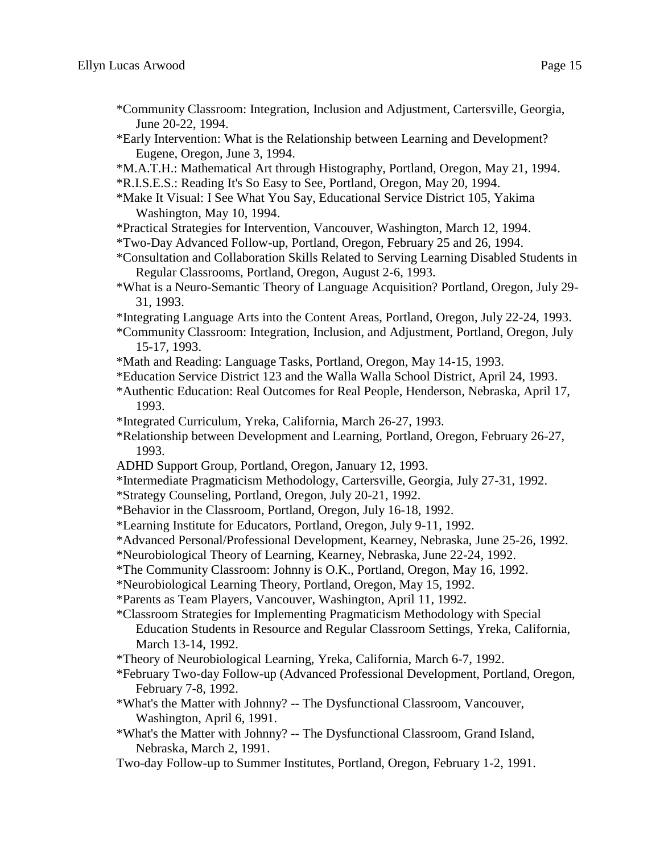- \*Community Classroom: Integration, Inclusion and Adjustment, Cartersville, Georgia, June 20-22, 1994.
- \*Early Intervention: What is the Relationship between Learning and Development? Eugene, Oregon, June 3, 1994.
- \*M.A.T.H.: Mathematical Art through Histography, Portland, Oregon, May 21, 1994.
- \*R.I.S.E.S.: Reading It's So Easy to See, Portland, Oregon, May 20, 1994.
- \*Make It Visual: I See What You Say, Educational Service District 105, Yakima Washington, May 10, 1994.
- \*Practical Strategies for Intervention, Vancouver, Washington, March 12, 1994.
- \*Two-Day Advanced Follow-up, Portland, Oregon, February 25 and 26, 1994.
- \*Consultation and Collaboration Skills Related to Serving Learning Disabled Students in Regular Classrooms, Portland, Oregon, August 2-6, 1993.
- \*What is a Neuro-Semantic Theory of Language Acquisition? Portland, Oregon, July 29- 31, 1993.
- \*Integrating Language Arts into the Content Areas, Portland, Oregon, July 22-24, 1993.
- \*Community Classroom: Integration, Inclusion, and Adjustment, Portland, Oregon, July 15-17, 1993.
- \*Math and Reading: Language Tasks, Portland, Oregon, May 14-15, 1993.
- \*Education Service District 123 and the Walla Walla School District, April 24, 1993.
- \*Authentic Education: Real Outcomes for Real People, Henderson, Nebraska, April 17, 1993.
- \*Integrated Curriculum, Yreka, California, March 26-27, 1993.
- \*Relationship between Development and Learning, Portland, Oregon, February 26-27, 1993.
- ADHD Support Group, Portland, Oregon, January 12, 1993.
- \*Intermediate Pragmaticism Methodology, Cartersville, Georgia, July 27-31, 1992.
- \*Strategy Counseling, Portland, Oregon, July 20-21, 1992.
- \*Behavior in the Classroom, Portland, Oregon, July 16-18, 1992.
- \*Learning Institute for Educators, Portland, Oregon, July 9-11, 1992.
- \*Advanced Personal/Professional Development, Kearney, Nebraska, June 25-26, 1992.
- \*Neurobiological Theory of Learning, Kearney, Nebraska, June 22-24, 1992.
- \*The Community Classroom: Johnny is O.K., Portland, Oregon, May 16, 1992.
- \*Neurobiological Learning Theory, Portland, Oregon, May 15, 1992.
- \*Parents as Team Players, Vancouver, Washington, April 11, 1992.
- \*Classroom Strategies for Implementing Pragmaticism Methodology with Special Education Students in Resource and Regular Classroom Settings, Yreka, California, March 13-14, 1992.
- \*Theory of Neurobiological Learning, Yreka, California, March 6-7, 1992.
- \*February Two-day Follow-up (Advanced Professional Development, Portland, Oregon, February 7-8, 1992.
- \*What's the Matter with Johnny? -- The Dysfunctional Classroom, Vancouver, Washington, April 6, 1991.
- \*What's the Matter with Johnny? -- The Dysfunctional Classroom, Grand Island, Nebraska, March 2, 1991.
- Two-day Follow-up to Summer Institutes, Portland, Oregon, February 1-2, 1991.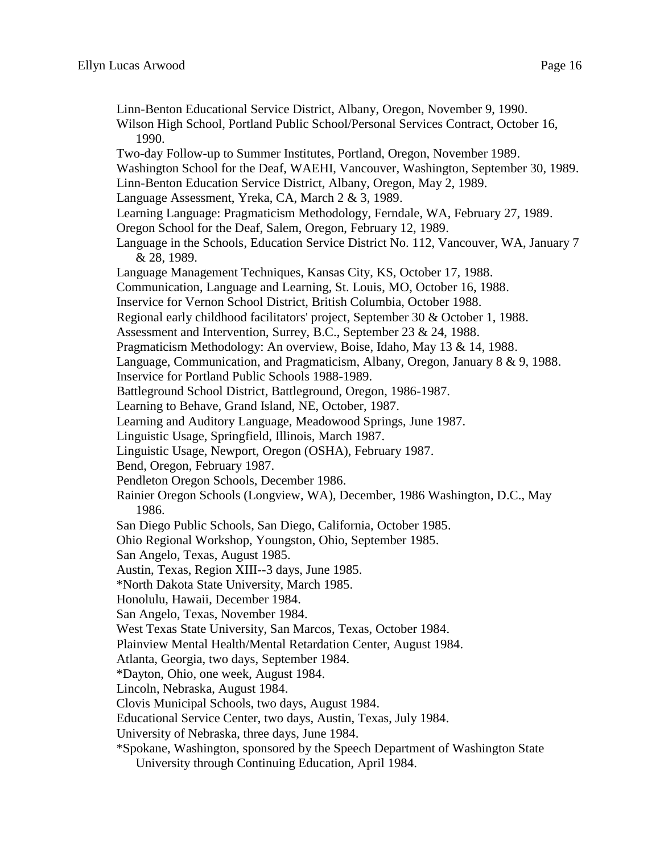Linn-Benton Educational Service District, Albany, Oregon, November 9, 1990. Wilson High School, Portland Public School/Personal Services Contract, October 16, 1990. Two-day Follow-up to Summer Institutes, Portland, Oregon, November 1989. Washington School for the Deaf, WAEHI, Vancouver, Washington, September 30, 1989. Linn-Benton Education Service District, Albany, Oregon, May 2, 1989. Language Assessment, Yreka, CA, March 2 & 3, 1989. Learning Language: Pragmaticism Methodology, Ferndale, WA, February 27, 1989. Oregon School for the Deaf, Salem, Oregon, February 12, 1989. Language in the Schools, Education Service District No. 112, Vancouver, WA, January 7 & 28, 1989. Language Management Techniques, Kansas City, KS, October 17, 1988. Communication, Language and Learning, St. Louis, MO, October 16, 1988. Inservice for Vernon School District, British Columbia, October 1988. Regional early childhood facilitators' project, September 30 & October 1, 1988. Assessment and Intervention, Surrey, B.C., September 23 & 24, 1988. Pragmaticism Methodology: An overview, Boise, Idaho, May 13 & 14, 1988. Language, Communication, and Pragmaticism, Albany, Oregon, January 8 & 9, 1988. Inservice for Portland Public Schools 1988-1989. Battleground School District, Battleground, Oregon, 1986-1987. Learning to Behave, Grand Island, NE, October, 1987. Learning and Auditory Language, Meadowood Springs, June 1987. Linguistic Usage, Springfield, Illinois, March 1987. Linguistic Usage, Newport, Oregon (OSHA), February 1987. Bend, Oregon, February 1987. Pendleton Oregon Schools, December 1986. Rainier Oregon Schools (Longview, WA), December, 1986 Washington, D.C., May 1986. San Diego Public Schools, San Diego, California, October 1985. Ohio Regional Workshop, Youngston, Ohio, September 1985. San Angelo, Texas, August 1985. Austin, Texas, Region XIII--3 days, June 1985. \*North Dakota State University, March 1985. Honolulu, Hawaii, December 1984. San Angelo, Texas, November 1984. West Texas State University, San Marcos, Texas, October 1984. Plainview Mental Health/Mental Retardation Center, August 1984. Atlanta, Georgia, two days, September 1984. \*Dayton, Ohio, one week, August 1984. Lincoln, Nebraska, August 1984. Clovis Municipal Schools, two days, August 1984. Educational Service Center, two days, Austin, Texas, July 1984. University of Nebraska, three days, June 1984. \*Spokane, Washington, sponsored by the Speech Department of Washington State University through Continuing Education, April 1984.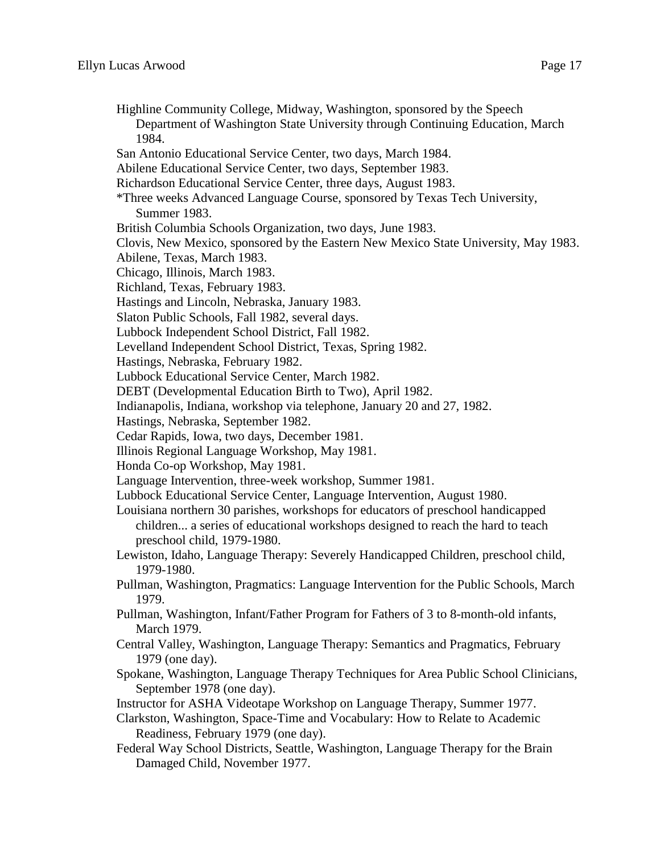Highline Community College, Midway, Washington, sponsored by the Speech Department of Washington State University through Continuing Education, March 1984. San Antonio Educational Service Center, two days, March 1984. Abilene Educational Service Center, two days, September 1983. Richardson Educational Service Center, three days, August 1983. \*Three weeks Advanced Language Course, sponsored by Texas Tech University, Summer 1983. British Columbia Schools Organization, two days, June 1983. Clovis, New Mexico, sponsored by the Eastern New Mexico State University, May 1983. Abilene, Texas, March 1983. Chicago, Illinois, March 1983. Richland, Texas, February 1983. Hastings and Lincoln, Nebraska, January 1983. Slaton Public Schools, Fall 1982, several days. Lubbock Independent School District, Fall 1982. Levelland Independent School District, Texas, Spring 1982. Hastings, Nebraska, February 1982. Lubbock Educational Service Center, March 1982. DEBT (Developmental Education Birth to Two), April 1982. Indianapolis, Indiana, workshop via telephone, January 20 and 27, 1982. Hastings, Nebraska, September 1982. Cedar Rapids, Iowa, two days, December 1981. Illinois Regional Language Workshop, May 1981. Honda Co-op Workshop, May 1981. Language Intervention, three-week workshop, Summer 1981. Lubbock Educational Service Center, Language Intervention, August 1980. Louisiana northern 30 parishes, workshops for educators of preschool handicapped children... a series of educational workshops designed to reach the hard to teach preschool child, 1979-1980. Lewiston, Idaho, Language Therapy: Severely Handicapped Children, preschool child, 1979-1980. Pullman, Washington, Pragmatics: Language Intervention for the Public Schools, March 1979. Pullman, Washington, Infant/Father Program for Fathers of 3 to 8-month-old infants, March 1979. Central Valley, Washington, Language Therapy: Semantics and Pragmatics, February 1979 (one day). Spokane, Washington, Language Therapy Techniques for Area Public School Clinicians, September 1978 (one day). Instructor for ASHA Videotape Workshop on Language Therapy, Summer 1977. Clarkston, Washington, Space-Time and Vocabulary: How to Relate to Academic Readiness, February 1979 (one day). Federal Way School Districts, Seattle, Washington, Language Therapy for the Brain Damaged Child, November 1977.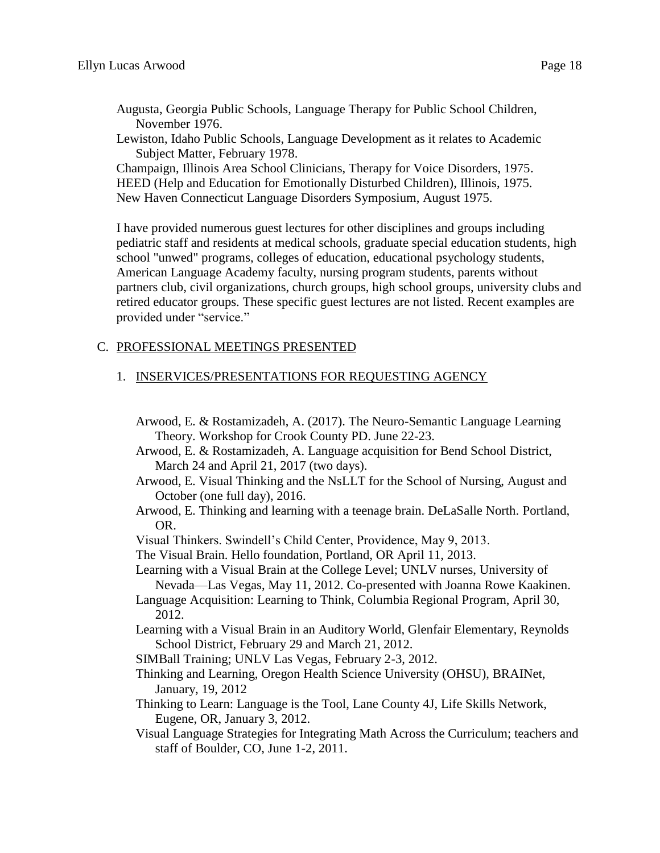- Augusta, Georgia Public Schools, Language Therapy for Public School Children, November 1976.
- Lewiston, Idaho Public Schools, Language Development as it relates to Academic Subject Matter, February 1978.

Champaign, Illinois Area School Clinicians, Therapy for Voice Disorders, 1975. HEED (Help and Education for Emotionally Disturbed Children), Illinois, 1975. New Haven Connecticut Language Disorders Symposium, August 1975.

I have provided numerous guest lectures for other disciplines and groups including pediatric staff and residents at medical schools, graduate special education students, high school "unwed" programs, colleges of education, educational psychology students, American Language Academy faculty, nursing program students, parents without partners club, civil organizations, church groups, high school groups, university clubs and retired educator groups. These specific guest lectures are not listed. Recent examples are provided under "service."

## C. PROFESSIONAL MEETINGS PRESENTED

## 1. INSERVICES/PRESENTATIONS FOR REQUESTING AGENCY

- Arwood, E. & Rostamizadeh, A. (2017). The Neuro-Semantic Language Learning Theory. Workshop for Crook County PD. June 22-23.
- Arwood, E. & Rostamizadeh, A. Language acquisition for Bend School District, March 24 and April 21, 2017 (two days).
- Arwood, E. Visual Thinking and the NsLLT for the School of Nursing, August and October (one full day), 2016.
- Arwood, E. Thinking and learning with a teenage brain. DeLaSalle North. Portland, OR.
- Visual Thinkers. Swindell's Child Center, Providence, May 9, 2013.
- The Visual Brain. Hello foundation, Portland, OR April 11, 2013.
- Learning with a Visual Brain at the College Level; UNLV nurses, University of Nevada—Las Vegas, May 11, 2012. Co-presented with Joanna Rowe Kaakinen.
- Language Acquisition: Learning to Think, Columbia Regional Program, April 30, 2012.
- Learning with a Visual Brain in an Auditory World, Glenfair Elementary, Reynolds School District, February 29 and March 21, 2012.
- SIMBall Training; UNLV Las Vegas, February 2-3, 2012.
- Thinking and Learning, Oregon Health Science University (OHSU), BRAINet, January, 19, 2012
- Thinking to Learn: Language is the Tool, Lane County 4J, Life Skills Network, Eugene, OR, January 3, 2012.
- Visual Language Strategies for Integrating Math Across the Curriculum; teachers and staff of Boulder, CO, June 1-2, 2011.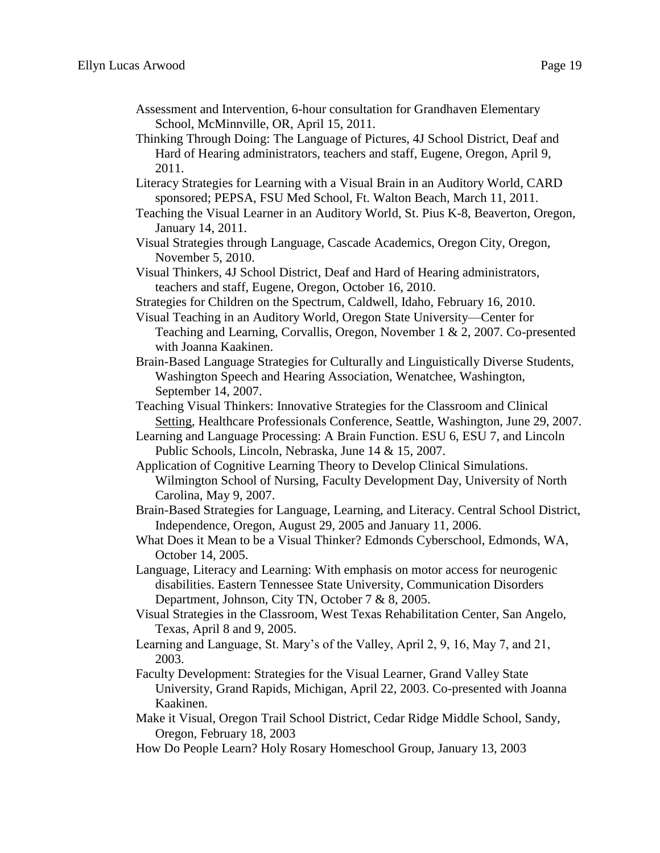- Assessment and Intervention, 6-hour consultation for Grandhaven Elementary School, McMinnville, OR, April 15, 2011.
- Thinking Through Doing: The Language of Pictures, 4J School District, Deaf and Hard of Hearing administrators, teachers and staff, Eugene, Oregon, April 9, 2011.
- Literacy Strategies for Learning with a Visual Brain in an Auditory World, CARD sponsored; PEPSA, FSU Med School, Ft. Walton Beach, March 11, 2011.
- Teaching the Visual Learner in an Auditory World, St. Pius K-8, Beaverton, Oregon, January 14, 2011.
- Visual Strategies through Language, Cascade Academics, Oregon City, Oregon, November 5, 2010.
- Visual Thinkers, 4J School District, Deaf and Hard of Hearing administrators, teachers and staff, Eugene, Oregon, October 16, 2010.
- Strategies for Children on the Spectrum, Caldwell, Idaho, February 16, 2010.
- Visual Teaching in an Auditory World, Oregon State University—Center for Teaching and Learning, Corvallis, Oregon, November 1 & 2, 2007. Co-presented with Joanna Kaakinen.
- Brain-Based Language Strategies for Culturally and Linguistically Diverse Students, Washington Speech and Hearing Association, Wenatchee, Washington, September 14, 2007.
- Teaching Visual Thinkers: Innovative Strategies for the Classroom and Clinical Setting, Healthcare Professionals Conference, Seattle, Washington, June 29, 2007.
- Learning and Language Processing: A Brain Function. ESU 6, ESU 7, and Lincoln Public Schools, Lincoln, Nebraska, June 14 & 15, 2007.
- Application of Cognitive Learning Theory to Develop Clinical Simulations. Wilmington School of Nursing, Faculty Development Day, University of North Carolina, May 9, 2007.
- Brain-Based Strategies for Language, Learning, and Literacy. Central School District, Independence, Oregon, August 29, 2005 and January 11, 2006.
- What Does it Mean to be a Visual Thinker? Edmonds Cyberschool, Edmonds, WA, October 14, 2005.
- Language, Literacy and Learning: With emphasis on motor access for neurogenic disabilities. Eastern Tennessee State University, Communication Disorders Department, Johnson, City TN, October 7 & 8, 2005.
- Visual Strategies in the Classroom, West Texas Rehabilitation Center, San Angelo, Texas, April 8 and 9, 2005.
- Learning and Language, St. Mary's of the Valley, April 2, 9, 16, May 7, and 21, 2003.
- Faculty Development: Strategies for the Visual Learner, Grand Valley State University, Grand Rapids, Michigan, April 22, 2003. Co-presented with Joanna Kaakinen.
- Make it Visual, Oregon Trail School District, Cedar Ridge Middle School, Sandy, Oregon, February 18, 2003
- How Do People Learn? Holy Rosary Homeschool Group, January 13, 2003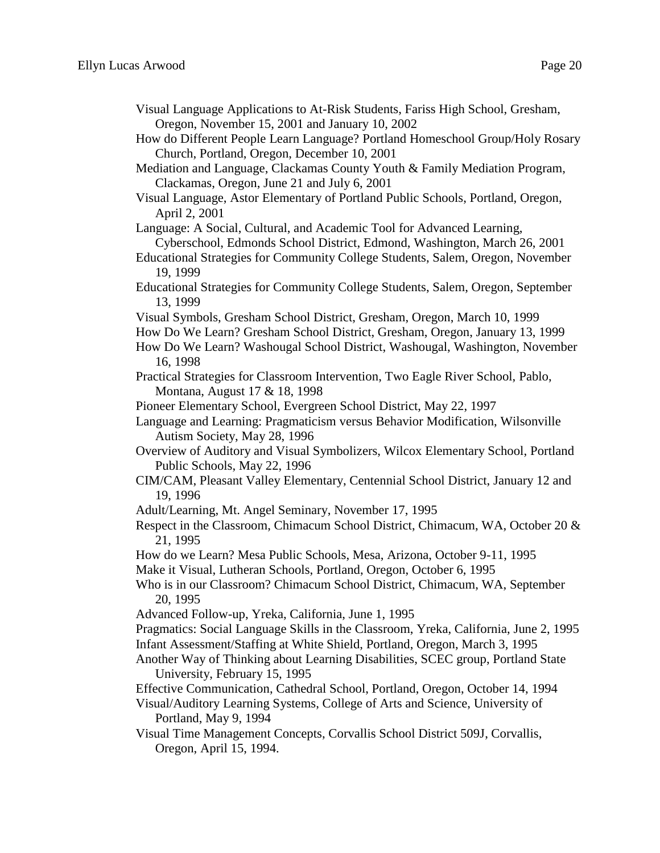- Visual Language Applications to At-Risk Students, Fariss High School, Gresham, Oregon, November 15, 2001 and January 10, 2002
- How do Different People Learn Language? Portland Homeschool Group/Holy Rosary Church, Portland, Oregon, December 10, 2001
- Mediation and Language, Clackamas County Youth & Family Mediation Program, Clackamas, Oregon, June 21 and July 6, 2001
- Visual Language, Astor Elementary of Portland Public Schools, Portland, Oregon, April 2, 2001

Language: A Social, Cultural, and Academic Tool for Advanced Learning, Cyberschool, Edmonds School District, Edmond, Washington, March 26, 2001

Educational Strategies for Community College Students, Salem, Oregon, November 19, 1999

- Educational Strategies for Community College Students, Salem, Oregon, September 13, 1999
- Visual Symbols, Gresham School District, Gresham, Oregon, March 10, 1999

How Do We Learn? Gresham School District, Gresham, Oregon, January 13, 1999

- How Do We Learn? Washougal School District, Washougal, Washington, November 16, 1998
- Practical Strategies for Classroom Intervention, Two Eagle River School, Pablo, Montana, August 17 & 18, 1998
- Pioneer Elementary School, Evergreen School District, May 22, 1997
- Language and Learning: Pragmaticism versus Behavior Modification, Wilsonville Autism Society, May 28, 1996
- Overview of Auditory and Visual Symbolizers, Wilcox Elementary School, Portland Public Schools, May 22, 1996
- CIM/CAM, Pleasant Valley Elementary, Centennial School District, January 12 and 19, 1996
- Adult/Learning, Mt. Angel Seminary, November 17, 1995
- Respect in the Classroom, Chimacum School District, Chimacum, WA, October 20 & 21, 1995

How do we Learn? Mesa Public Schools, Mesa, Arizona, October 9-11, 1995

Make it Visual, Lutheran Schools, Portland, Oregon, October 6, 1995

Who is in our Classroom? Chimacum School District, Chimacum, WA, September 20, 1995

- Advanced Follow-up, Yreka, California, June 1, 1995
- Pragmatics: Social Language Skills in the Classroom, Yreka, California, June 2, 1995
- Infant Assessment/Staffing at White Shield, Portland, Oregon, March 3, 1995
- Another Way of Thinking about Learning Disabilities, SCEC group, Portland State University, February 15, 1995

Effective Communication, Cathedral School, Portland, Oregon, October 14, 1994

Visual/Auditory Learning Systems, College of Arts and Science, University of Portland, May 9, 1994

Visual Time Management Concepts, Corvallis School District 509J, Corvallis, Oregon, April 15, 1994.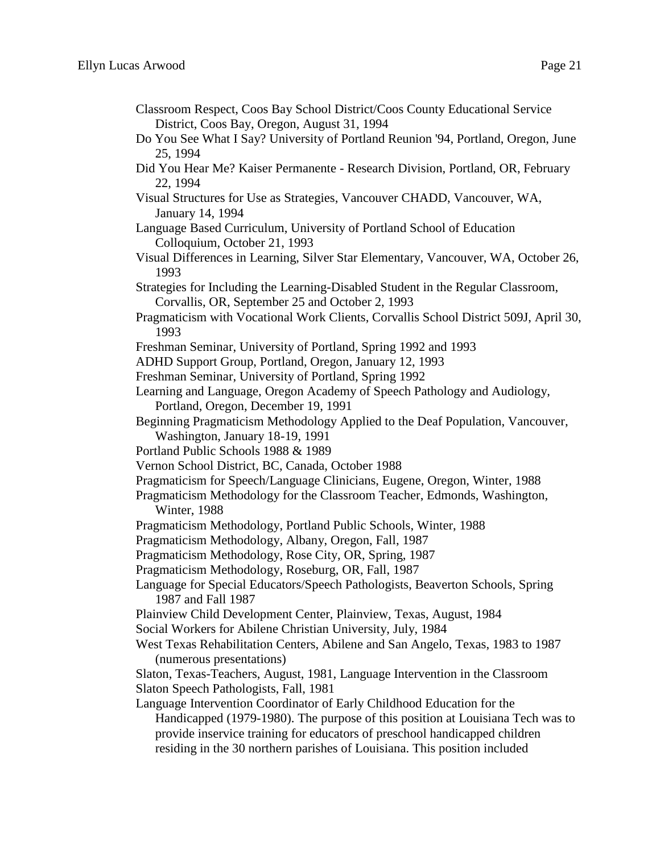- Classroom Respect, Coos Bay School District/Coos County Educational Service District, Coos Bay, Oregon, August 31, 1994
- Do You See What I Say? University of Portland Reunion '94, Portland, Oregon, June 25, 1994
- Did You Hear Me? Kaiser Permanente Research Division, Portland, OR, February 22, 1994
- Visual Structures for Use as Strategies, Vancouver CHADD, Vancouver, WA, January 14, 1994
- Language Based Curriculum, University of Portland School of Education Colloquium, October 21, 1993
- Visual Differences in Learning, Silver Star Elementary, Vancouver, WA, October 26, 1993
- Strategies for Including the Learning-Disabled Student in the Regular Classroom, Corvallis, OR, September 25 and October 2, 1993
- Pragmaticism with Vocational Work Clients, Corvallis School District 509J, April 30, 1993
- Freshman Seminar, University of Portland, Spring 1992 and 1993
- ADHD Support Group, Portland, Oregon, January 12, 1993
- Freshman Seminar, University of Portland, Spring 1992
- Learning and Language, Oregon Academy of Speech Pathology and Audiology, Portland, Oregon, December 19, 1991
- Beginning Pragmaticism Methodology Applied to the Deaf Population, Vancouver, Washington, January 18-19, 1991
- Portland Public Schools 1988 & 1989
- Vernon School District, BC, Canada, October 1988
- Pragmaticism for Speech/Language Clinicians, Eugene, Oregon, Winter, 1988
- Pragmaticism Methodology for the Classroom Teacher, Edmonds, Washington, Winter, 1988
- Pragmaticism Methodology, Portland Public Schools, Winter, 1988
- Pragmaticism Methodology, Albany, Oregon, Fall, 1987
- Pragmaticism Methodology, Rose City, OR, Spring, 1987
- Pragmaticism Methodology, Roseburg, OR, Fall, 1987
- Language for Special Educators/Speech Pathologists, Beaverton Schools, Spring 1987 and Fall 1987
- Plainview Child Development Center, Plainview, Texas, August, 1984
- Social Workers for Abilene Christian University, July, 1984
- West Texas Rehabilitation Centers, Abilene and San Angelo, Texas, 1983 to 1987 (numerous presentations)
- Slaton, Texas-Teachers, August, 1981, Language Intervention in the Classroom Slaton Speech Pathologists, Fall, 1981

Language Intervention Coordinator of Early Childhood Education for the Handicapped (1979-1980). The purpose of this position at Louisiana Tech was to provide inservice training for educators of preschool handicapped children residing in the 30 northern parishes of Louisiana. This position included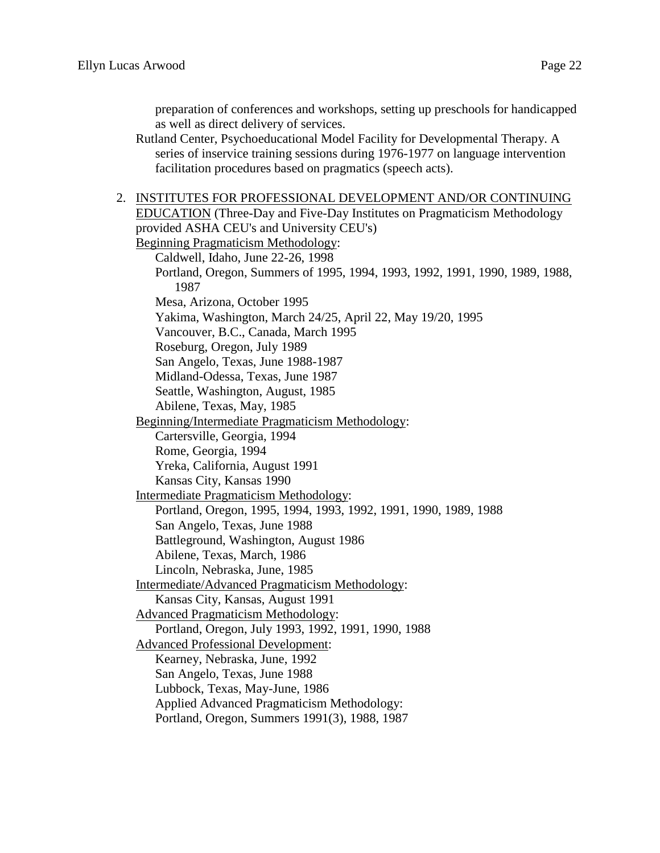preparation of conferences and workshops, setting up preschools for handicapped as well as direct delivery of services.

Rutland Center, Psychoeducational Model Facility for Developmental Therapy. A series of inservice training sessions during 1976-1977 on language intervention facilitation procedures based on pragmatics (speech acts).

2. INSTITUTES FOR PROFESSIONAL DEVELOPMENT AND/OR CONTINUING EDUCATION (Three-Day and Five-Day Institutes on Pragmaticism Methodology provided ASHA CEU's and University CEU's) Beginning Pragmaticism Methodology: Caldwell, Idaho, June 22-26, 1998 Portland, Oregon, Summers of 1995, 1994, 1993, 1992, 1991, 1990, 1989, 1988, 1987 Mesa, Arizona, October 1995 Yakima, Washington, March 24/25, April 22, May 19/20, 1995 Vancouver, B.C., Canada, March 1995 Roseburg, Oregon, July 1989 San Angelo, Texas, June 1988-1987 Midland-Odessa, Texas, June 1987 Seattle, Washington, August, 1985 Abilene, Texas, May, 1985 Beginning/Intermediate Pragmaticism Methodology: Cartersville, Georgia, 1994 Rome, Georgia, 1994 Yreka, California, August 1991 Kansas City, Kansas 1990 Intermediate Pragmaticism Methodology: Portland, Oregon, 1995, 1994, 1993, 1992, 1991, 1990, 1989, 1988 San Angelo, Texas, June 1988 Battleground, Washington, August 1986 Abilene, Texas, March, 1986 Lincoln, Nebraska, June, 1985 Intermediate/Advanced Pragmaticism Methodology: Kansas City, Kansas, August 1991 Advanced Pragmaticism Methodology: Portland, Oregon, July 1993, 1992, 1991, 1990, 1988 Advanced Professional Development: Kearney, Nebraska, June, 1992 San Angelo, Texas, June 1988 Lubbock, Texas, May-June, 1986 Applied Advanced Pragmaticism Methodology: Portland, Oregon, Summers 1991(3), 1988, 1987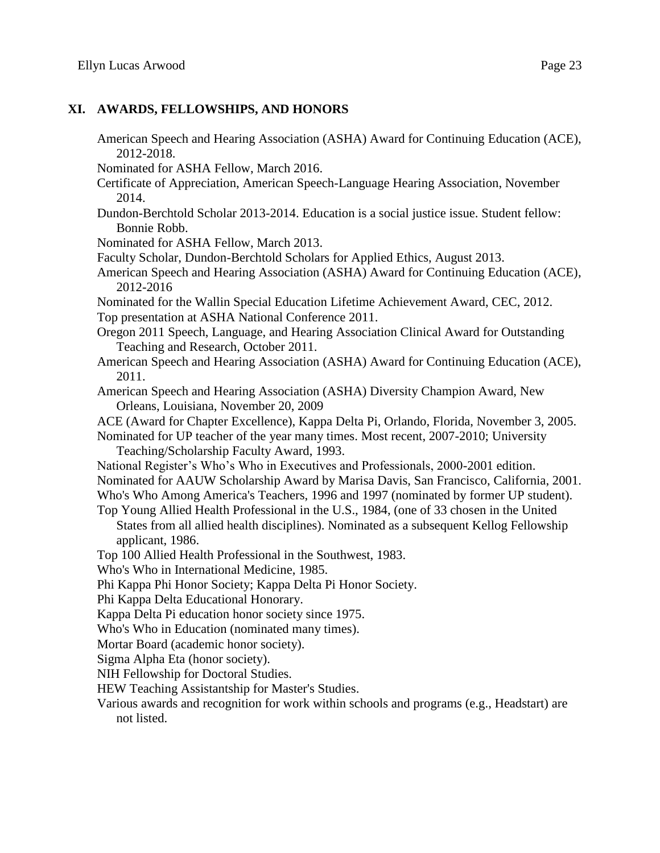#### **XI. AWARDS, FELLOWSHIPS, AND HONORS**

American Speech and Hearing Association (ASHA) Award for Continuing Education (ACE), 2012-2018. Nominated for ASHA Fellow, March 2016. Certificate of Appreciation, American Speech-Language Hearing Association, November 2014. Dundon-Berchtold Scholar 2013-2014. Education is a social justice issue. Student fellow: Bonnie Robb. Nominated for ASHA Fellow, March 2013. Faculty Scholar, Dundon-Berchtold Scholars for Applied Ethics, August 2013. American Speech and Hearing Association (ASHA) Award for Continuing Education (ACE), 2012-2016 Nominated for the Wallin Special Education Lifetime Achievement Award, CEC, 2012. Top presentation at ASHA National Conference 2011. Oregon 2011 Speech, Language, and Hearing Association Clinical Award for Outstanding Teaching and Research, October 2011. American Speech and Hearing Association (ASHA) Award for Continuing Education (ACE), 2011. American Speech and Hearing Association (ASHA) Diversity Champion Award, New Orleans, Louisiana, November 20, 2009 ACE (Award for Chapter Excellence), Kappa Delta Pi, Orlando, Florida, November 3, 2005. Nominated for UP teacher of the year many times. Most recent, 2007-2010; University Teaching/Scholarship Faculty Award, 1993. National Register's Who's Who in Executives and Professionals, 2000-2001 edition. Nominated for AAUW Scholarship Award by Marisa Davis, San Francisco, California, 2001. Who's Who Among America's Teachers, 1996 and 1997 (nominated by former UP student). Top Young Allied Health Professional in the U.S., 1984, (one of 33 chosen in the United States from all allied health disciplines). Nominated as a subsequent Kellog Fellowship applicant, 1986. Top 100 Allied Health Professional in the Southwest, 1983. Who's Who in International Medicine, 1985. Phi Kappa Phi Honor Society; Kappa Delta Pi Honor Society. Phi Kappa Delta Educational Honorary. Kappa Delta Pi education honor society since 1975. Who's Who in Education (nominated many times). Mortar Board (academic honor society). Sigma Alpha Eta (honor society). NIH Fellowship for Doctoral Studies. HEW Teaching Assistantship for Master's Studies. Various awards and recognition for work within schools and programs (e.g., Headstart) are not listed.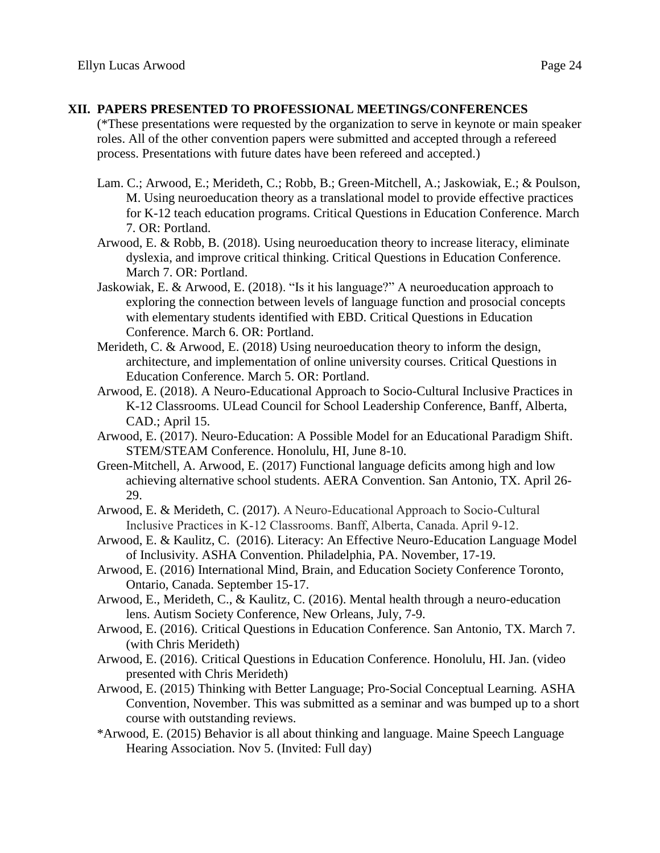## **XII. PAPERS PRESENTED TO PROFESSIONAL MEETINGS/CONFERENCES**

(\*These presentations were requested by the organization to serve in keynote or main speaker roles. All of the other convention papers were submitted and accepted through a refereed process. Presentations with future dates have been refereed and accepted.)

- Lam. C.; Arwood, E.; Merideth, C.; Robb, B.; Green-Mitchell, A.; Jaskowiak, E.; & Poulson, M. Using neuroeducation theory as a translational model to provide effective practices for K-12 teach education programs. Critical Questions in Education Conference. March 7. OR: Portland.
- Arwood, E. & Robb, B. (2018). Using neuroeducation theory to increase literacy, eliminate dyslexia, and improve critical thinking. Critical Questions in Education Conference. March 7. OR: Portland.
- Jaskowiak, E. & Arwood, E. (2018). "Is it his language?" A neuroeducation approach to exploring the connection between levels of language function and prosocial concepts with elementary students identified with EBD. Critical Questions in Education Conference. March 6. OR: Portland.
- Merideth, C. & Arwood, E. (2018) Using neuroeducation theory to inform the design, architecture, and implementation of online university courses. Critical Questions in Education Conference. March 5. OR: Portland.
- Arwood, E. (2018). A Neuro-Educational Approach to Socio-Cultural Inclusive Practices in K-12 Classrooms. ULead Council for School Leadership Conference, Banff, Alberta, CAD.; April 15.
- Arwood, E. (2017). Neuro-Education: A Possible Model for an Educational Paradigm Shift. STEM/STEAM Conference. Honolulu, HI, June 8-10.
- Green-Mitchell, A. Arwood, E. (2017) Functional language deficits among high and low achieving alternative school students. AERA Convention. San Antonio, TX. April 26- 29.
- Arwood, E. & Merideth, C. (2017). A Neuro-Educational Approach to Socio-Cultural Inclusive Practices in K-12 Classrooms. Banff, Alberta, Canada. April 9-12.
- Arwood, E. & Kaulitz, C. (2016). Literacy: An Effective Neuro-Education Language Model of Inclusivity. ASHA Convention. Philadelphia, PA. November, 17-19.
- Arwood, E. (2016) International Mind, Brain, and Education Society Conference Toronto, Ontario, Canada. September 15-17.
- Arwood, E., Merideth, C., & Kaulitz, C. (2016). Mental health through a neuro-education lens. Autism Society Conference, New Orleans, July, 7-9.
- Arwood, E. (2016). Critical Questions in Education Conference. San Antonio, TX. March 7. (with Chris Merideth)
- Arwood, E. (2016). Critical Questions in Education Conference. Honolulu, HI. Jan. (video presented with Chris Merideth)
- Arwood, E. (2015) Thinking with Better Language; Pro-Social Conceptual Learning. ASHA Convention, November. This was submitted as a seminar and was bumped up to a short course with outstanding reviews.
- \*Arwood, E. (2015) Behavior is all about thinking and language. Maine Speech Language Hearing Association. Nov 5. (Invited: Full day)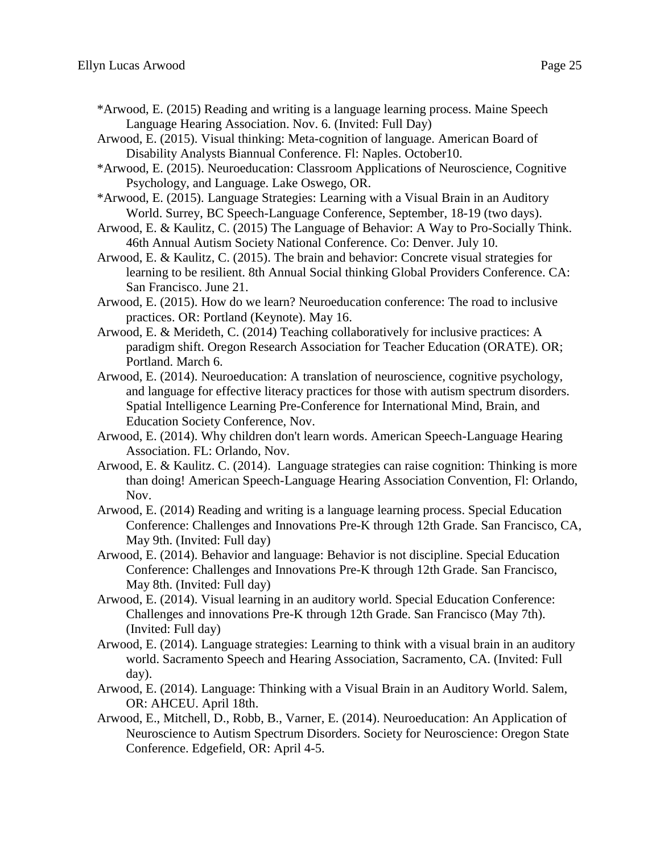- \*Arwood, E. (2015) Reading and writing is a language learning process. Maine Speech Language Hearing Association. Nov. 6. (Invited: Full Day)
- Arwood, E. (2015). Visual thinking: Meta-cognition of language. American Board of Disability Analysts Biannual Conference. Fl: Naples. October10.
- \*Arwood, E. (2015). Neuroeducation: Classroom Applications of Neuroscience, Cognitive Psychology, and Language. Lake Oswego, OR.
- \*Arwood, E. (2015). Language Strategies: Learning with a Visual Brain in an Auditory World. Surrey, BC Speech-Language Conference, September, 18-19 (two days).
- Arwood, E. & Kaulitz, C. (2015) The Language of Behavior: A Way to Pro-Socially Think. 46th Annual Autism Society National Conference. Co: Denver. July 10.
- Arwood, E. & Kaulitz, C. (2015). The brain and behavior: Concrete visual strategies for learning to be resilient. 8th Annual Social thinking Global Providers Conference. CA: San Francisco. June 21.
- Arwood, E. (2015). How do we learn? Neuroeducation conference: The road to inclusive practices. OR: Portland (Keynote). May 16.
- Arwood, E. & Merideth, C. (2014) Teaching collaboratively for inclusive practices: A paradigm shift. Oregon Research Association for Teacher Education (ORATE). OR; Portland. March 6.
- Arwood, E. (2014). Neuroeducation: A translation of neuroscience, cognitive psychology, and language for effective literacy practices for those with autism spectrum disorders. Spatial Intelligence Learning Pre-Conference for International Mind, Brain, and Education Society Conference, Nov.
- Arwood, E. (2014). Why children don't learn words. American Speech-Language Hearing Association. FL: Orlando, Nov.
- Arwood, E. & Kaulitz. C. (2014). Language strategies can raise cognition: Thinking is more than doing! American Speech-Language Hearing Association Convention, Fl: Orlando, Nov.
- Arwood, E. (2014) Reading and writing is a language learning process. Special Education Conference: Challenges and Innovations Pre-K through 12th Grade. San Francisco, CA, May 9th. (Invited: Full day)
- Arwood, E. (2014). Behavior and language: Behavior is not discipline. Special Education Conference: Challenges and Innovations Pre-K through 12th Grade. San Francisco, May 8th. (Invited: Full day)
- Arwood, E. (2014). Visual learning in an auditory world. Special Education Conference: Challenges and innovations Pre-K through 12th Grade. San Francisco (May 7th). (Invited: Full day)
- Arwood, E. (2014). Language strategies: Learning to think with a visual brain in an auditory world. Sacramento Speech and Hearing Association, Sacramento, CA. (Invited: Full day).
- Arwood, E. (2014). Language: Thinking with a Visual Brain in an Auditory World. Salem, OR: AHCEU. April 18th.
- Arwood, E., Mitchell, D., Robb, B., Varner, E. (2014). Neuroeducation: An Application of Neuroscience to Autism Spectrum Disorders. Society for Neuroscience: Oregon State Conference. Edgefield, OR: April 4-5.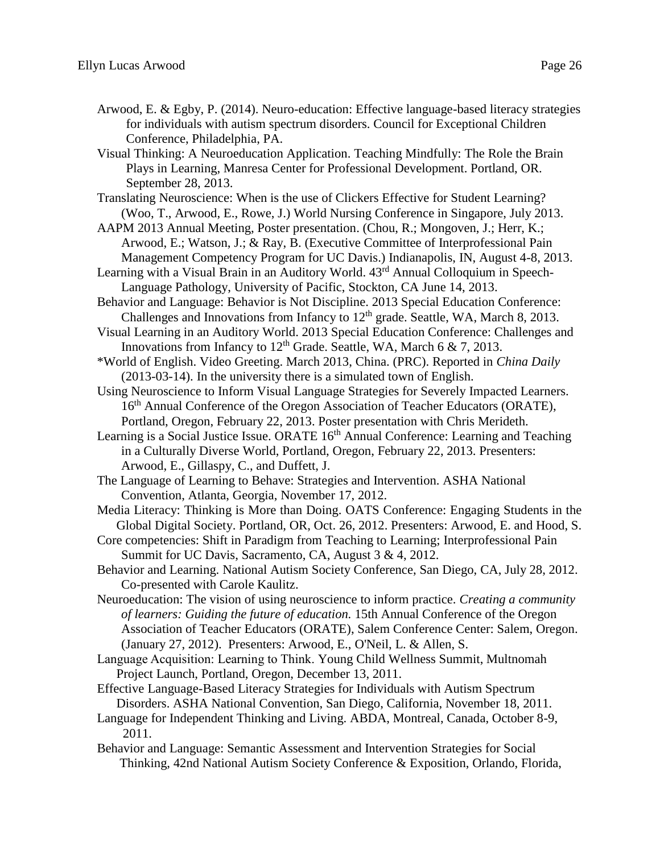- Arwood, E. & Egby, P. (2014). Neuro-education: Effective language-based literacy strategies for individuals with autism spectrum disorders. Council for Exceptional Children Conference, Philadelphia, PA.
- Visual Thinking: A Neuroeducation Application. Teaching Mindfully: The Role the Brain Plays in Learning, Manresa Center for Professional Development. Portland, OR. September 28, 2013.

Translating Neuroscience: When is the use of Clickers Effective for Student Learning? (Woo, T., Arwood, E., Rowe, J.) World Nursing Conference in Singapore, July 2013.

- AAPM 2013 Annual Meeting, Poster presentation. (Chou, R.; Mongoven, J.; Herr, K.; Arwood, E.; Watson, J.; & Ray, B. (Executive Committee of Interprofessional Pain Management Competency Program for UC Davis.) Indianapolis, IN, August 4-8, 2013.
- Learning with a Visual Brain in an Auditory World.  $43<sup>rd</sup>$  Annual Colloquium in Speech-Language Pathology, University of Pacific, Stockton, CA June 14, 2013.

Behavior and Language: Behavior is Not Discipline. 2013 Special Education Conference: Challenges and Innovations from Infancy to  $12<sup>th</sup>$  grade. Seattle, WA, March 8, 2013.

- Visual Learning in an Auditory World. 2013 Special Education Conference: Challenges and Innovations from Infancy to  $12<sup>th</sup>$  Grade. Seattle, WA, March 6 & 7, 2013.
- \*World of English. Video Greeting. March 2013, China. (PRC). Reported in *China Daily* (2013-03-14). In the university there is a simulated town of English.
- Using Neuroscience to Inform Visual Language Strategies for Severely Impacted Learners. 16<sup>th</sup> Annual Conference of the Oregon Association of Teacher Educators (ORATE), Portland, Oregon, February 22, 2013. Poster presentation with Chris Merideth.
- Learning is a Social Justice Issue. ORATE 16<sup>th</sup> Annual Conference: Learning and Teaching in a Culturally Diverse World, Portland, Oregon, February 22, 2013. Presenters: Arwood, E., Gillaspy, C., and Duffett, J.
- The Language of Learning to Behave: Strategies and Intervention. ASHA National Convention, Atlanta, Georgia, November 17, 2012.
- Media Literacy: Thinking is More than Doing. OATS Conference: Engaging Students in the Global Digital Society. Portland, OR, Oct. 26, 2012. Presenters: Arwood, E. and Hood, S.
- Core competencies: Shift in Paradigm from Teaching to Learning; Interprofessional Pain Summit for UC Davis, Sacramento, CA, August 3 & 4, 2012.
- Behavior and Learning. National Autism Society Conference, San Diego, CA, July 28, 2012. Co-presented with Carole Kaulitz.
- Neuroeducation: The vision of using neuroscience to inform practice. *Creating a community of learners: Guiding the future of education.* 15th Annual Conference of the Oregon Association of Teacher Educators (ORATE), Salem Conference Center: Salem, Oregon. (January 27, 2012). Presenters: Arwood, E., O'Neil, L. & Allen, S.
- Language Acquisition: Learning to Think. Young Child Wellness Summit, Multnomah Project Launch, Portland, Oregon, December 13, 2011.

Effective Language-Based Literacy Strategies for Individuals with Autism Spectrum Disorders. ASHA National Convention, San Diego, California, November 18, 2011.

- Language for Independent Thinking and Living. ABDA, Montreal, Canada, October 8-9, 2011.
- Behavior and Language: Semantic Assessment and Intervention Strategies for Social Thinking, 42nd National Autism Society Conference & Exposition, Orlando, Florida,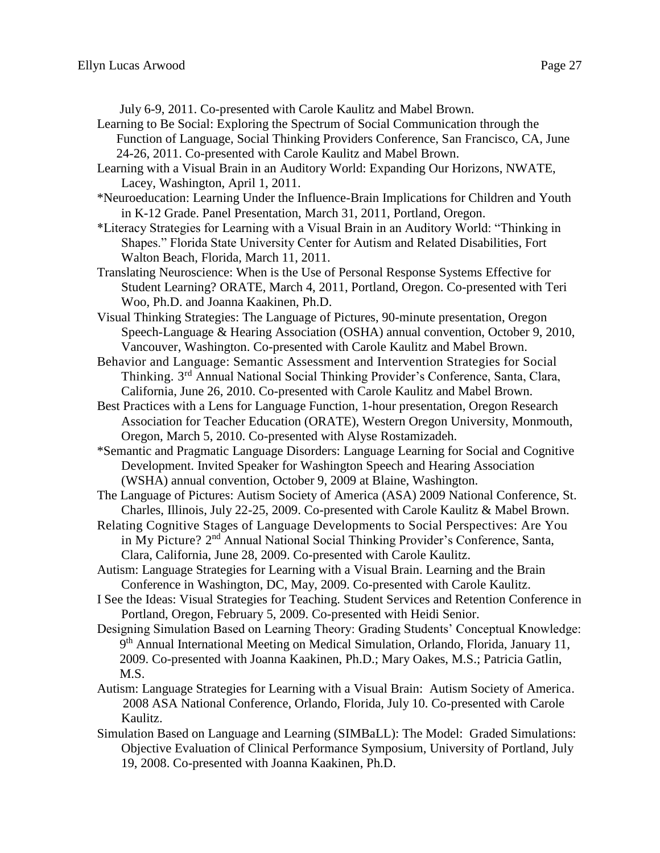July 6-9, 2011. Co-presented with Carole Kaulitz and Mabel Brown.

Learning to Be Social: Exploring the Spectrum of Social Communication through the Function of Language, Social Thinking Providers Conference, San Francisco, CA, June 24-26, 2011. Co-presented with Carole Kaulitz and Mabel Brown.

- Learning with a Visual Brain in an Auditory World: Expanding Our Horizons, NWATE, Lacey, Washington, April 1, 2011.
- \*Neuroeducation: Learning Under the Influence-Brain Implications for Children and Youth in K-12 Grade. Panel Presentation, March 31, 2011, Portland, Oregon.
- \*Literacy Strategies for Learning with a Visual Brain in an Auditory World: "Thinking in Shapes." Florida State University Center for Autism and Related Disabilities, Fort Walton Beach, Florida, March 11, 2011.
- Translating Neuroscience: When is the Use of Personal Response Systems Effective for Student Learning? ORATE, March 4, 2011, Portland, Oregon. Co-presented with Teri Woo, Ph.D. and Joanna Kaakinen, Ph.D.
- Visual Thinking Strategies: The Language of Pictures, 90-minute presentation, Oregon Speech-Language & Hearing Association (OSHA) annual convention, October 9, 2010, Vancouver, Washington. Co-presented with Carole Kaulitz and Mabel Brown.
- Behavior and Language: Semantic Assessment and Intervention Strategies for Social Thinking. 3rd Annual National Social Thinking Provider's Conference, Santa, Clara, California, June 26, 2010. Co-presented with Carole Kaulitz and Mabel Brown.
- Best Practices with a Lens for Language Function, 1-hour presentation, Oregon Research Association for Teacher Education (ORATE), Western Oregon University, Monmouth, Oregon, March 5, 2010. Co-presented with Alyse Rostamizadeh.
- \*Semantic and Pragmatic Language Disorders: Language Learning for Social and Cognitive Development. Invited Speaker for Washington Speech and Hearing Association (WSHA) annual convention, October 9, 2009 at Blaine, Washington.
- The Language of Pictures: Autism Society of America (ASA) 2009 National Conference, St. Charles, Illinois, July 22-25, 2009. Co-presented with Carole Kaulitz & Mabel Brown.
- Relating Cognitive Stages of Language Developments to Social Perspectives: Are You in My Picture? 2<sup>nd</sup> Annual National Social Thinking Provider's Conference, Santa, Clara, California, June 28, 2009. Co-presented with Carole Kaulitz.
- Autism: Language Strategies for Learning with a Visual Brain. Learning and the Brain Conference in Washington, DC, May, 2009. Co-presented with Carole Kaulitz.
- I See the Ideas: Visual Strategies for Teaching. Student Services and Retention Conference in Portland, Oregon, February 5, 2009. Co-presented with Heidi Senior.
- Designing Simulation Based on Learning Theory: Grading Students' Conceptual Knowledge: 9<sup>th</sup> Annual International Meeting on Medical Simulation, Orlando, Florida, January 11, 2009. Co-presented with Joanna Kaakinen, Ph.D.; Mary Oakes, M.S.; Patricia Gatlin, M.S.
- Autism: Language Strategies for Learning with a Visual Brain: Autism Society of America. 2008 ASA National Conference, Orlando, Florida, July 10. Co-presented with Carole Kaulitz.
- Simulation Based on Language and Learning (SIMBaLL): The Model: Graded Simulations: Objective Evaluation of Clinical Performance Symposium, University of Portland, July 19, 2008. Co-presented with Joanna Kaakinen, Ph.D.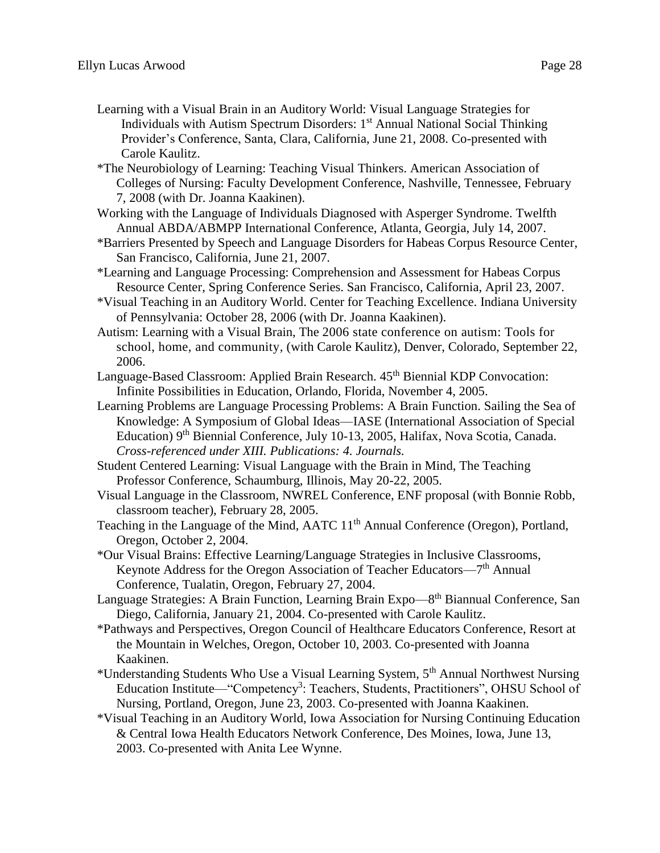- Learning with a Visual Brain in an Auditory World: Visual Language Strategies for Individuals with Autism Spectrum Disorders: 1st Annual National Social Thinking Provider's Conference, Santa, Clara, California, June 21, 2008. Co-presented with Carole Kaulitz.
- \*The Neurobiology of Learning: Teaching Visual Thinkers. American Association of Colleges of Nursing: Faculty Development Conference, Nashville, Tennessee, February 7, 2008 (with Dr. Joanna Kaakinen).
- Working with the Language of Individuals Diagnosed with Asperger Syndrome. Twelfth Annual ABDA/ABMPP International Conference, Atlanta, Georgia, July 14, 2007.
- \*Barriers Presented by Speech and Language Disorders for Habeas Corpus Resource Center, San Francisco, California, June 21, 2007.
- \*Learning and Language Processing: Comprehension and Assessment for Habeas Corpus Resource Center, Spring Conference Series. San Francisco, California, April 23, 2007.
- \*Visual Teaching in an Auditory World. Center for Teaching Excellence. Indiana University of Pennsylvania: October 28, 2006 (with Dr. Joanna Kaakinen).
- Autism: Learning with a Visual Brain, The 2006 state conference on autism: Tools for school, home, and community*,* (with Carole Kaulitz), Denver, Colorado, September 22, 2006.
- Language-Based Classroom: Applied Brain Research. 45<sup>th</sup> Biennial KDP Convocation: Infinite Possibilities in Education, Orlando, Florida, November 4, 2005.
- Learning Problems are Language Processing Problems: A Brain Function. Sailing the Sea of Knowledge: A Symposium of Global Ideas—IASE (International Association of Special Education) 9th Biennial Conference, July 10-13, 2005, Halifax, Nova Scotia, Canada. *Cross-referenced under XIII. Publications: 4. Journals.*
- Student Centered Learning: Visual Language with the Brain in Mind, The Teaching Professor Conference, Schaumburg, Illinois, May 20-22, 2005.
- Visual Language in the Classroom, NWREL Conference, ENF proposal (with Bonnie Robb, classroom teacher), February 28, 2005.
- Teaching in the Language of the Mind, AATC 11<sup>th</sup> Annual Conference (Oregon), Portland, Oregon, October 2, 2004.
- \*Our Visual Brains: Effective Learning/Language Strategies in Inclusive Classrooms, Keynote Address for the Oregon Association of Teacher Educators—7<sup>th</sup> Annual Conference, Tualatin, Oregon, February 27, 2004.
- Language Strategies: A Brain Function, Learning Brain Expo-8<sup>th</sup> Biannual Conference, San Diego, California, January 21, 2004. Co-presented with Carole Kaulitz.
- \*Pathways and Perspectives, Oregon Council of Healthcare Educators Conference, Resort at the Mountain in Welches, Oregon, October 10, 2003. Co-presented with Joanna Kaakinen.
- \*Understanding Students Who Use a Visual Learning System, 5th Annual Northwest Nursing Education Institute—"Competency<sup>3</sup>: Teachers, Students, Practitioners", OHSU School of Nursing, Portland, Oregon, June 23, 2003. Co-presented with Joanna Kaakinen.
- \*Visual Teaching in an Auditory World, Iowa Association for Nursing Continuing Education & Central Iowa Health Educators Network Conference, Des Moines, Iowa, June 13, 2003. Co-presented with Anita Lee Wynne.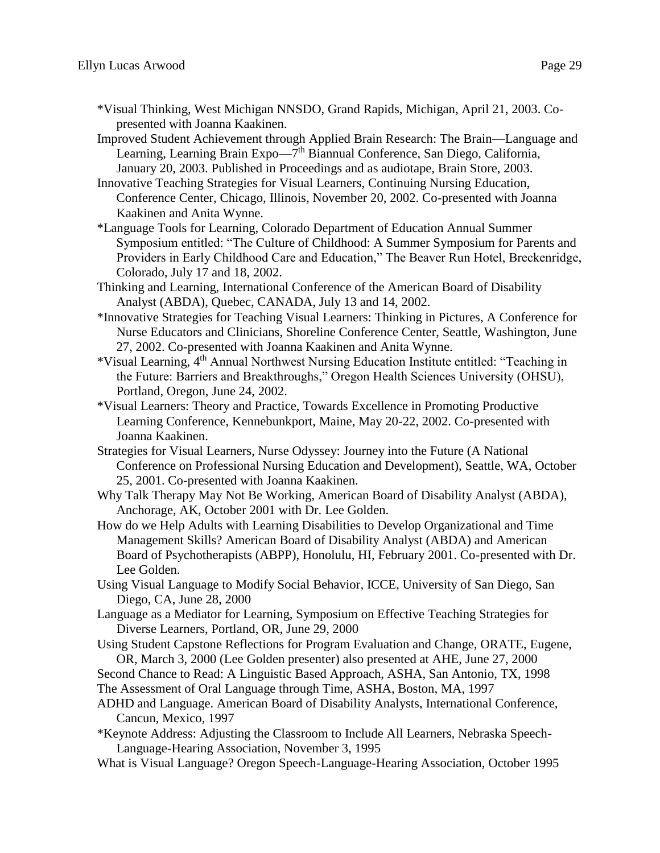- \*Visual Thinking, West Michigan NNSDO, Grand Rapids, Michigan, April 21, 2003. Copresented with Joanna Kaakinen.
- Improved Student Achievement through Applied Brain Research: The Brain—Language and Learning, Learning Brain Expo—7<sup>th</sup> Biannual Conference, San Diego, California, January 20, 2003. Published in Proceedings and as audiotape, Brain Store, 2003.
- Innovative Teaching Strategies for Visual Learners, Continuing Nursing Education, Conference Center, Chicago, Illinois, November 20, 2002. Co-presented with Joanna Kaakinen and Anita Wynne.
- \*Language Tools for Learning, Colorado Department of Education Annual Summer Symposium entitled: "The Culture of Childhood: A Summer Symposium for Parents and Providers in Early Childhood Care and Education," The Beaver Run Hotel, Breckenridge, Colorado, July 17 and 18, 2002.
- Thinking and Learning, International Conference of the American Board of Disability Analyst (ABDA), Quebec, CANADA, July 13 and 14, 2002.
- \*Innovative Strategies for Teaching Visual Learners: Thinking in Pictures, A Conference for Nurse Educators and Clinicians, Shoreline Conference Center, Seattle, Washington, June 27, 2002. Co-presented with Joanna Kaakinen and Anita Wynne.
- \*Visual Learning, 4th Annual Northwest Nursing Education Institute entitled: "Teaching in the Future: Barriers and Breakthroughs," Oregon Health Sciences University (OHSU), Portland, Oregon, June 24, 2002.
- \*Visual Learners: Theory and Practice, Towards Excellence in Promoting Productive Learning Conference, Kennebunkport, Maine, May 20-22, 2002. Co-presented with Joanna Kaakinen.
- Strategies for Visual Learners, Nurse Odyssey: Journey into the Future (A National Conference on Professional Nursing Education and Development), Seattle, WA, October 25, 2001. Co-presented with Joanna Kaakinen.
- Why Talk Therapy May Not Be Working, American Board of Disability Analyst (ABDA), Anchorage, AK, October 2001 with Dr. Lee Golden.
- How do we Help Adults with Learning Disabilities to Develop Organizational and Time Management Skills? American Board of Disability Analyst (ABDA) and American Board of Psychotherapists (ABPP), Honolulu, HI, February 2001. Co-presented with Dr. Lee Golden.
- Using Visual Language to Modify Social Behavior, ICCE, University of San Diego, San Diego, CA, June 28, 2000
- Language as a Mediator for Learning, Symposium on Effective Teaching Strategies for Diverse Learners, Portland, OR, June 29, 2000
- Using Student Capstone Reflections for Program Evaluation and Change, ORATE, Eugene, OR, March 3, 2000 (Lee Golden presenter) also presented at AHE, June 27, 2000
- Second Chance to Read: A Linguistic Based Approach, ASHA, San Antonio, TX, 1998
- The Assessment of Oral Language through Time, ASHA, Boston, MA, 1997
- ADHD and Language. American Board of Disability Analysts, International Conference, Cancun, Mexico, 1997
- \*Keynote Address: Adjusting the Classroom to Include All Learners, Nebraska Speech-Language-Hearing Association, November 3, 1995
- What is Visual Language? Oregon Speech-Language-Hearing Association, October 1995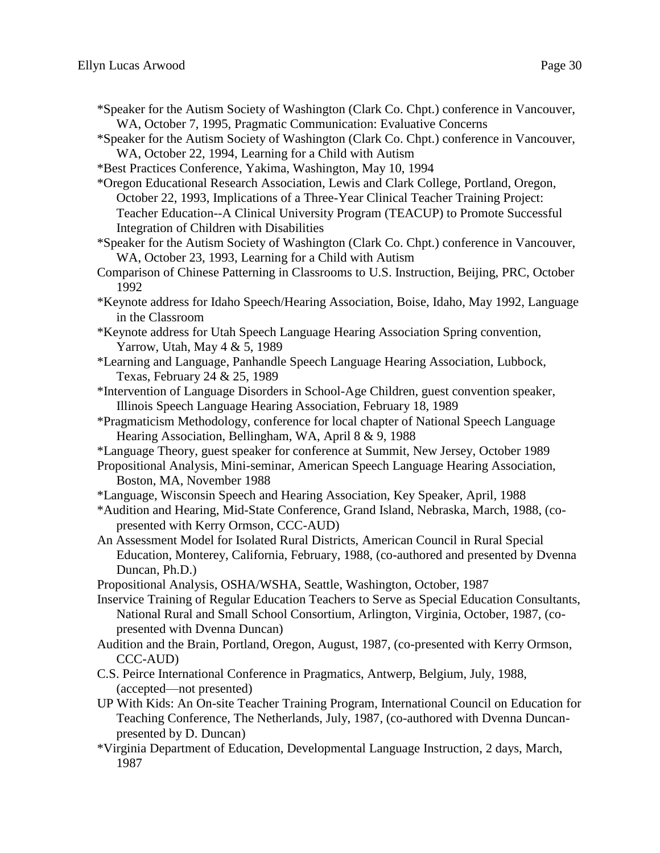- \*Speaker for the Autism Society of Washington (Clark Co. Chpt.) conference in Vancouver, WA, October 7, 1995, Pragmatic Communication: Evaluative Concerns
- \*Speaker for the Autism Society of Washington (Clark Co. Chpt.) conference in Vancouver, WA, October 22, 1994, Learning for a Child with Autism
- \*Best Practices Conference, Yakima, Washington, May 10, 1994

\*Oregon Educational Research Association, Lewis and Clark College, Portland, Oregon, October 22, 1993, Implications of a Three-Year Clinical Teacher Training Project: Teacher Education--A Clinical University Program (TEACUP) to Promote Successful Integration of Children with Disabilities

- \*Speaker for the Autism Society of Washington (Clark Co. Chpt.) conference in Vancouver, WA, October 23, 1993, Learning for a Child with Autism
- Comparison of Chinese Patterning in Classrooms to U.S. Instruction, Beijing, PRC, October 1992
- \*Keynote address for Idaho Speech/Hearing Association, Boise, Idaho, May 1992, Language in the Classroom
- \*Keynote address for Utah Speech Language Hearing Association Spring convention, Yarrow, Utah, May 4 & 5, 1989
- \*Learning and Language, Panhandle Speech Language Hearing Association, Lubbock, Texas, February 24 & 25, 1989
- \*Intervention of Language Disorders in School-Age Children, guest convention speaker, Illinois Speech Language Hearing Association, February 18, 1989
- \*Pragmaticism Methodology, conference for local chapter of National Speech Language Hearing Association, Bellingham, WA, April 8 & 9, 1988

\*Language Theory, guest speaker for conference at Summit, New Jersey, October 1989

Propositional Analysis, Mini-seminar, American Speech Language Hearing Association, Boston, MA, November 1988

- \*Language, Wisconsin Speech and Hearing Association, Key Speaker, April, 1988
- \*Audition and Hearing, Mid-State Conference, Grand Island, Nebraska, March, 1988, (copresented with Kerry Ormson, CCC-AUD)
- An Assessment Model for Isolated Rural Districts, American Council in Rural Special Education, Monterey, California, February, 1988, (co-authored and presented by Dvenna Duncan, Ph.D.)
- Propositional Analysis, OSHA/WSHA, Seattle, Washington, October, 1987
- Inservice Training of Regular Education Teachers to Serve as Special Education Consultants, National Rural and Small School Consortium, Arlington, Virginia, October, 1987, (copresented with Dvenna Duncan)
- Audition and the Brain, Portland, Oregon, August, 1987, (co-presented with Kerry Ormson, CCC-AUD)
- C.S. Peirce International Conference in Pragmatics, Antwerp, Belgium, July, 1988, (accepted—not presented)
- UP With Kids: An On-site Teacher Training Program, International Council on Education for Teaching Conference, The Netherlands, July, 1987, (co-authored with Dvenna Duncanpresented by D. Duncan)
- \*Virginia Department of Education, Developmental Language Instruction, 2 days, March, 1987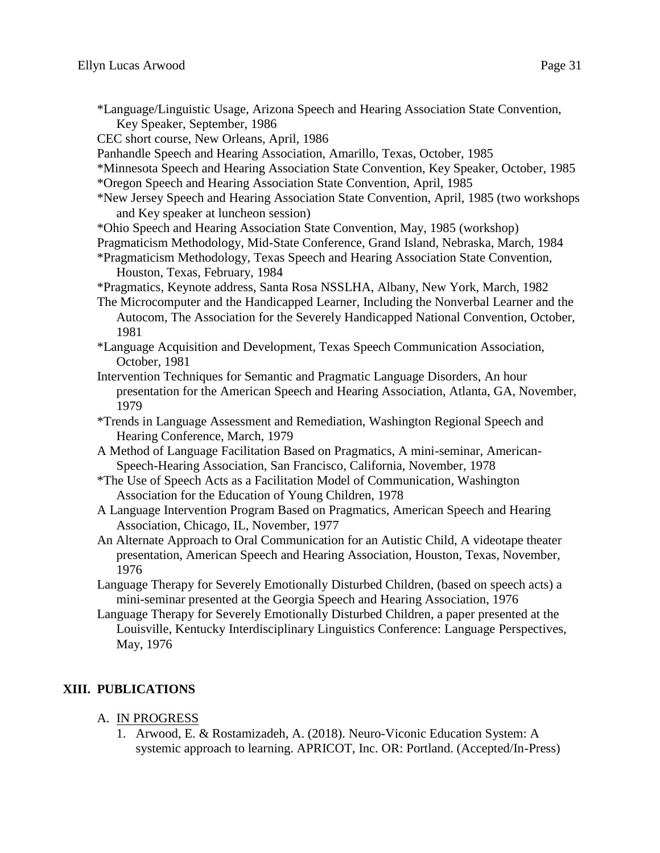\*Language/Linguistic Usage, Arizona Speech and Hearing Association State Convention, Key Speaker, September, 1986

CEC short course, New Orleans, April, 1986

Panhandle Speech and Hearing Association, Amarillo, Texas, October, 1985

- \*Minnesota Speech and Hearing Association State Convention, Key Speaker, October, 1985 \*Oregon Speech and Hearing Association State Convention, April, 1985
- \*New Jersey Speech and Hearing Association State Convention, April, 1985 (two workshops and Key speaker at luncheon session)
- \*Ohio Speech and Hearing Association State Convention, May, 1985 (workshop)

Pragmaticism Methodology, Mid-State Conference, Grand Island, Nebraska, March, 1984

\*Pragmaticism Methodology, Texas Speech and Hearing Association State Convention, Houston, Texas, February, 1984

\*Pragmatics, Keynote address, Santa Rosa NSSLHA, Albany, New York, March, 1982

- The Microcomputer and the Handicapped Learner, Including the Nonverbal Learner and the Autocom, The Association for the Severely Handicapped National Convention, October, 1981
- \*Language Acquisition and Development, Texas Speech Communication Association, October, 1981
- Intervention Techniques for Semantic and Pragmatic Language Disorders, An hour presentation for the American Speech and Hearing Association, Atlanta, GA, November, 1979
- \*Trends in Language Assessment and Remediation, Washington Regional Speech and Hearing Conference, March, 1979
- A Method of Language Facilitation Based on Pragmatics, A mini-seminar, American-Speech-Hearing Association, San Francisco, California, November, 1978
- \*The Use of Speech Acts as a Facilitation Model of Communication, Washington Association for the Education of Young Children, 1978
- A Language Intervention Program Based on Pragmatics, American Speech and Hearing Association, Chicago, IL, November, 1977
- An Alternate Approach to Oral Communication for an Autistic Child, A videotape theater presentation, American Speech and Hearing Association, Houston, Texas, November, 1976
- Language Therapy for Severely Emotionally Disturbed Children, (based on speech acts) a mini-seminar presented at the Georgia Speech and Hearing Association, 1976
- Language Therapy for Severely Emotionally Disturbed Children, a paper presented at the Louisville, Kentucky Interdisciplinary Linguistics Conference: Language Perspectives, May, 1976

# **XIII. PUBLICATIONS**

- A. IN PROGRESS
	- 1. Arwood, E. & Rostamizadeh, A. (2018). Neuro-Viconic Education System: A systemic approach to learning. APRICOT, Inc. OR: Portland. (Accepted/In-Press)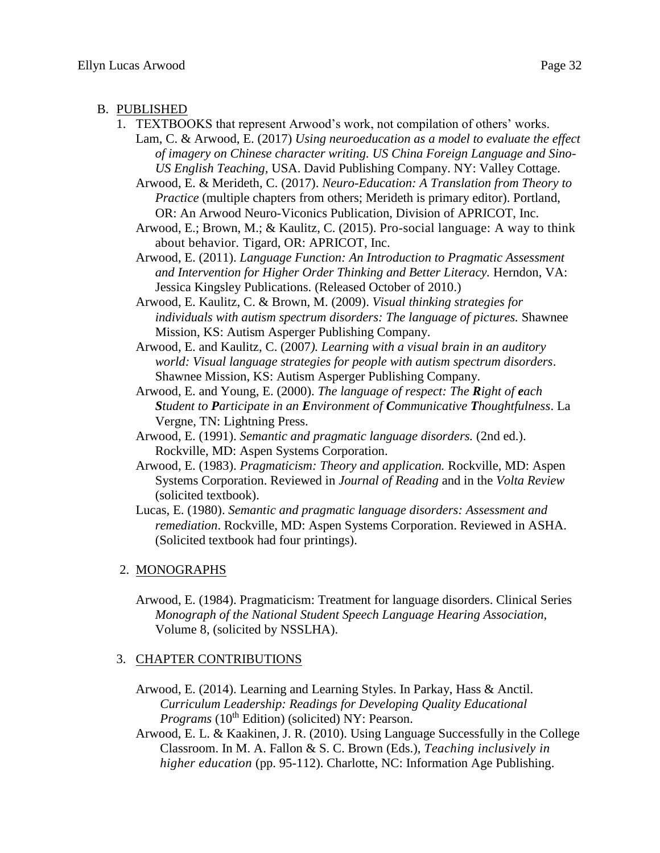#### B. PUBLISHED

- 1. TEXTBOOKS that represent Arwood's work, not compilation of others' works.
	- Lam, C. & Arwood, E. (2017) *Using neuroeducation as a model to evaluate the effect of imagery on Chinese character writing. US China Foreign Language and Sino-US English Teaching,* USA. David Publishing Company. NY: Valley Cottage.

Arwood, E. & Merideth, C. (2017). *Neuro-Education: A Translation from Theory to Practice* (multiple chapters from others; Merideth is primary editor). Portland, OR: An Arwood Neuro-Viconics Publication, Division of APRICOT, Inc.

- Arwood, E.; Brown, M.; & Kaulitz, C. (2015). Pro-social language: A way to think about behavior. Tigard, OR: APRICOT, Inc.
- Arwood, E. (2011). *Language Function: An Introduction to Pragmatic Assessment and Intervention for Higher Order Thinking and Better Literacy.* Herndon, VA: Jessica Kingsley Publications. (Released October of 2010.)

Arwood, E. Kaulitz, C. & Brown, M. (2009). *Visual thinking strategies for individuals with autism spectrum disorders: The language of pictures.* Shawnee Mission, KS: Autism Asperger Publishing Company.

- Arwood, E. and Kaulitz, C. (2007*). Learning with a visual brain in an auditory world: Visual language strategies for people with autism spectrum disorders*. Shawnee Mission, KS: Autism Asperger Publishing Company.
- Arwood, E. and Young, E. (2000). *The language of respect: The Right of each Student to Participate in an Environment of Communicative Thoughtfulness*. La Vergne, TN: Lightning Press.
- Arwood, E. (1991). *Semantic and pragmatic language disorders.* (2nd ed.). Rockville, MD: Aspen Systems Corporation.
- Arwood, E. (1983). *Pragmaticism: Theory and application.* Rockville, MD: Aspen Systems Corporation. Reviewed in *Journal of Reading* and in the *Volta Review* (solicited textbook).
- Lucas, E. (1980). *Semantic and pragmatic language disorders: Assessment and remediation*. Rockville, MD: Aspen Systems Corporation. Reviewed in ASHA. (Solicited textbook had four printings).

#### 2. MONOGRAPHS

Arwood, E. (1984). Pragmaticism: Treatment for language disorders. Clinical Series *Monograph of the National Student Speech Language Hearing Association,*  Volume 8, (solicited by NSSLHA).

#### 3. CHAPTER CONTRIBUTIONS

- Arwood, E. (2014). Learning and Learning Styles. In Parkay, Hass & Anctil. *Curriculum Leadership: Readings for Developing Quality Educational Programs* (10<sup>th</sup> Edition) (solicited) NY: Pearson.
- Arwood, E. L. & Kaakinen, J. R. (2010). Using Language Successfully in the College Classroom. In M. A. Fallon & S. C. Brown (Eds.), *Teaching inclusively in higher education* (pp. 95-112). Charlotte, NC: Information Age Publishing.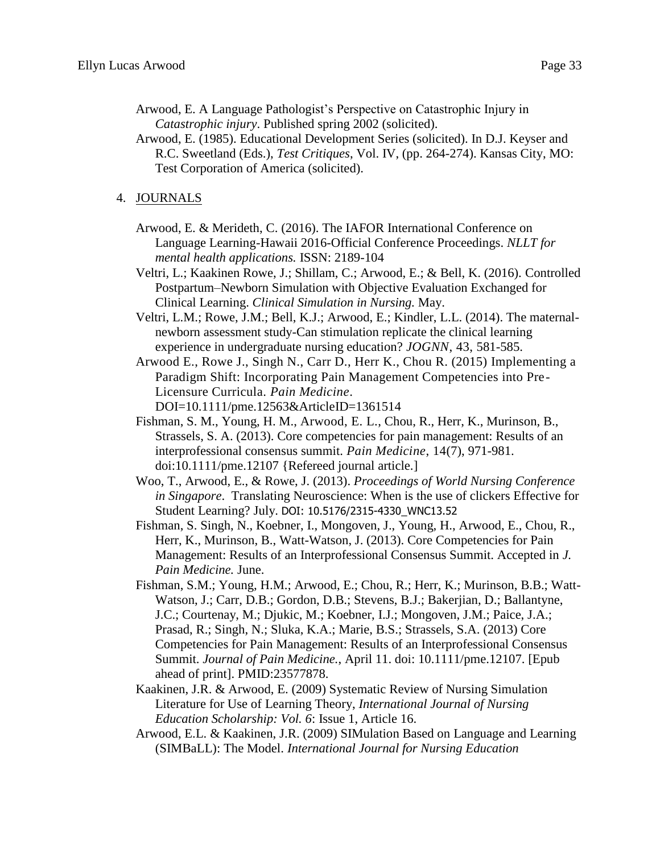Arwood, E. A Language Pathologist's Perspective on Catastrophic Injury in *Catastrophic injury*. Published spring 2002 (solicited).

Arwood, E. (1985). Educational Development Series (solicited). In D.J. Keyser and R.C. Sweetland (Eds.), *Test Critiques*, Vol. IV, (pp. 264-274). Kansas City, MO: Test Corporation of America (solicited).

## 4. JOURNALS

- Arwood, E. & Merideth, C. (2016). The IAFOR International Conference on Language Learning-Hawaii 2016-Official Conference Proceedings. *NLLT for mental health applications.* ISSN: 2189-104
- Veltri, L.; Kaakinen Rowe, J.; Shillam, C.; Arwood, E.; & Bell, K. (2016). [Controlled](https://www.researchgate.net/publication/298794436_Controlled_Postpartum-Newborn_Simulation_With_Objective_Evaluation_Exchanged_for_Clinical_Learning?ev=prf_pub)  [Postpartum–Newborn Simulation with Objective Evaluation Exchanged for](https://www.researchgate.net/publication/298794436_Controlled_Postpartum-Newborn_Simulation_With_Objective_Evaluation_Exchanged_for_Clinical_Learning?ev=prf_pub)  [Clinical Learning.](https://www.researchgate.net/publication/298794436_Controlled_Postpartum-Newborn_Simulation_With_Objective_Evaluation_Exchanged_for_Clinical_Learning?ev=prf_pub) *Clinical Simulation in Nursing.* May.
- Veltri, L.M.; Rowe, J.M.; Bell, K.J.; Arwood, E.; Kindler, L.L. (2014). The maternalnewborn assessment study-Can stimulation replicate the clinical learning experience in undergraduate nursing education? *JOGNN*, 43, 581-585.
- Arwood E., Rowe J., Singh N., Carr D., Herr K., Chou R. (2015) Implementing a Paradigm Shift: Incorporating Pain Management Competencies into Pre-Licensure Curricula. *Pain Medicine*. DOI=10.1111/pme.12563&ArticleID=1361514
- Fishman, S. M., Young, H. M., Arwood, E. L., Chou, R., Herr, K., Murinson, B., Strassels, S. A. (2013). Core competencies for pain management: Results of an interprofessional consensus summit. *Pain Medicine*, 14(7), 971-981. doi:10.1111/pme.12107 {Refereed journal article.]
- Woo, T., Arwood, E., & Rowe, J. (2013). *Proceedings of World Nursing Conference in Singapore*. Translating Neuroscience: When is the use of clickers Effective for Student Learning? July. DOI: 10.5176/2315-4330\_WNC13.52
- Fishman, S. Singh, N., Koebner, I., Mongoven, J., Young, H., Arwood, E., Chou, R., Herr, K., Murinson, B., Watt-Watson, J. (2013). Core Competencies for Pain Management: Results of an Interprofessional Consensus Summit. Accepted in *J. Pain Medicine.* June.
- Fishman, S.M.; Young, H.M.; Arwood, E.; Chou, R.; Herr, K.; Murinson, B.B.; Watt-Watson, J.; Carr, D.B.; Gordon, D.B.; Stevens, B.J.; Bakerjian, D.; Ballantyne, J.C.; Courtenay, M.; Djukic, M.; Koebner, I.J.; Mongoven, J.M.; Paice, J.A.; Prasad, R.; Singh, N.; Sluka, K.A.; Marie, B.S.; Strassels, S.A. (2013) Core Competencies for Pain Management: Results of an Interprofessional Consensus Summit. *Journal of Pain Medicine.*, April 11. doi: 10.1111/pme.12107. [Epub ahead of print]. PMID:23577878.
- Kaakinen, J.R. & Arwood, E. (2009) Systematic Review of Nursing Simulation Literature for Use of Learning Theory, *International Journal of Nursing Education Scholarship: Vol. 6*: Issue 1, Article 16.
- Arwood, E.L. & Kaakinen, J.R. (2009) SIMulation Based on Language and Learning (SIMBaLL): The Model. *International Journal for Nursing Education*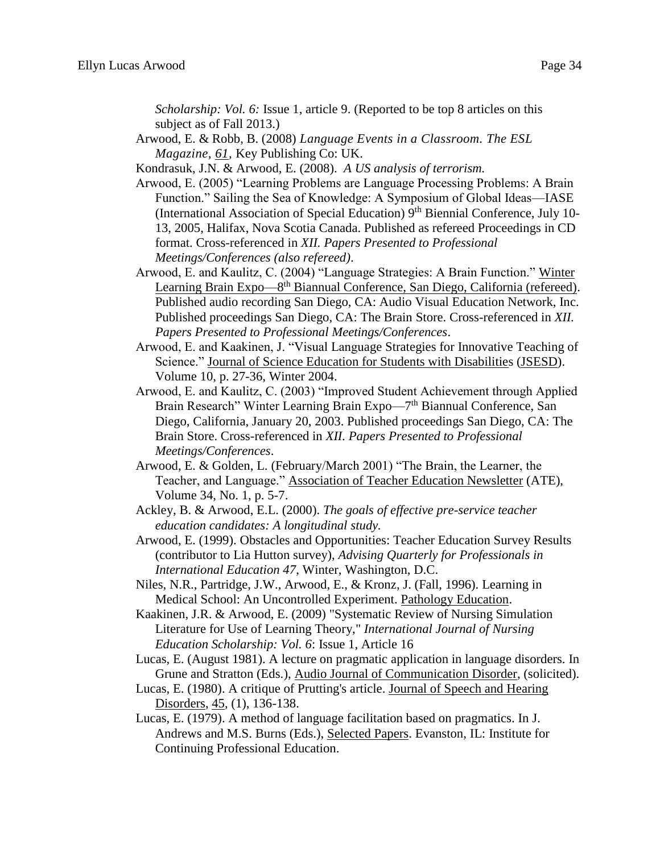*Scholarship: Vol. 6:* Issue 1, article 9. (Reported to be top 8 articles on this subject as of Fall 2013.)

Arwood, E. & Robb, B. (2008) *Language Events in a Classroom. The ESL Magazine, 61,* Key Publishing Co: UK.

Kondrasuk, J.N. & Arwood, E. (2008). *A US analysis of terrorism.*

- Arwood, E. (2005) "Learning Problems are Language Processing Problems: A Brain Function." Sailing the Sea of Knowledge: A Symposium of Global Ideas—IASE (International Association of Special Education)  $9<sup>th</sup>$  Biennial Conference, July 10-13, 2005, Halifax, Nova Scotia Canada. Published as refereed Proceedings in CD format. Cross-referenced in *XII. Papers Presented to Professional Meetings/Conferences (also refereed)*.
- Arwood, E. and Kaulitz, C. (2004) "Language Strategies: A Brain Function." Winter Learning Brain Expo—8<sup>th</sup> Biannual Conference, San Diego, California (refereed). Published audio recording San Diego, CA: Audio Visual Education Network, Inc. Published proceedings San Diego, CA: The Brain Store. Cross-referenced in *XII. Papers Presented to Professional Meetings/Conferences*.
- Arwood, E. and Kaakinen, J. "Visual Language Strategies for Innovative Teaching of Science." Journal of Science Education for Students with Disabilities (JSESD). Volume 10, p. 27-36, Winter 2004.
- Arwood, E. and Kaulitz, C. (2003) "Improved Student Achievement through Applied Brain Research" Winter Learning Brain Expo-7<sup>th</sup> Biannual Conference, San Diego, California, January 20, 2003. Published proceedings San Diego, CA: The Brain Store. Cross-referenced in *XII. Papers Presented to Professional Meetings/Conferences*.
- Arwood, E. & Golden, L. (February/March 2001) "The Brain, the Learner, the Teacher, and Language." Association of Teacher Education Newsletter (ATE), Volume 34, No. 1, p. 5-7.
- Ackley, B. & Arwood, E.L. (2000). *The goals of effective pre-service teacher education candidates: A longitudinal study.*
- Arwood, E. (1999). Obstacles and Opportunities: Teacher Education Survey Results (contributor to Lia Hutton survey), *Advising Quarterly for Professionals in International Education 47*, Winter, Washington, D.C.
- Niles, N.R., Partridge, J.W., Arwood, E., & Kronz, J. (Fall, 1996). Learning in Medical School: An Uncontrolled Experiment. Pathology Education.
- Kaakinen, J.R. & Arwood, E. (2009) "Systematic Review of Nursing Simulation Literature for Use of Learning Theory," *International Journal of Nursing Education Scholarship: Vol. 6*: Issue 1, Article 16
- Lucas, E. (August 1981). A lecture on pragmatic application in language disorders. In Grune and Stratton (Eds.), Audio Journal of Communication Disorder, (solicited).
- Lucas, E. (1980). A critique of Prutting's article. Journal of Speech and Hearing Disorders, 45, (1), 136-138.
- Lucas, E. (1979). A method of language facilitation based on pragmatics. In J. Andrews and M.S. Burns (Eds.), Selected Papers. Evanston, IL: Institute for Continuing Professional Education.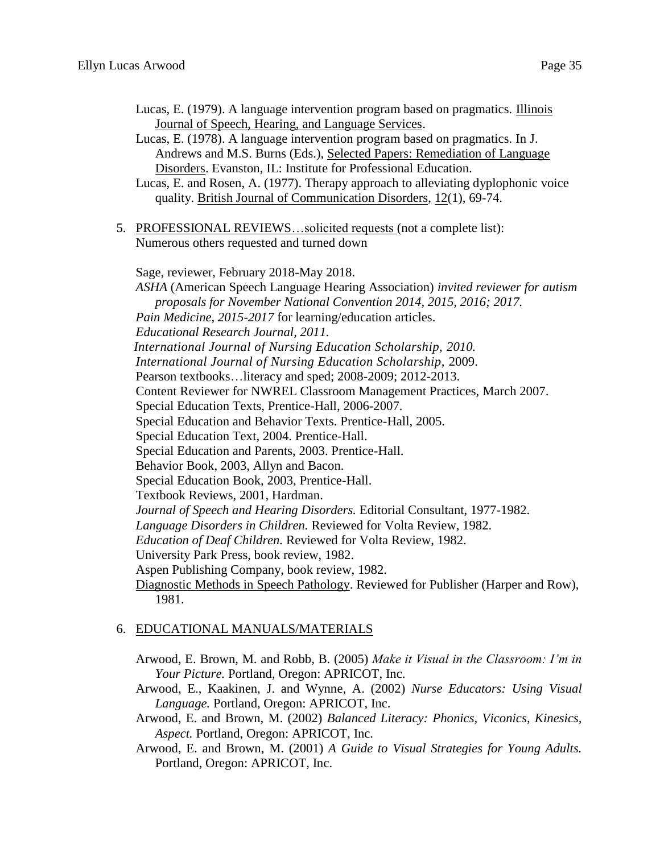- Lucas, E. (1979). A language intervention program based on pragmatics. Illinois Journal of Speech, Hearing, and Language Services.
- Lucas, E. (1978). A language intervention program based on pragmatics. In J. Andrews and M.S. Burns (Eds.), Selected Papers: Remediation of Language Disorders. Evanston, IL: Institute for Professional Education.
- Lucas, E. and Rosen, A. (1977). Therapy approach to alleviating dyplophonic voice quality. British Journal of Communication Disorders, 12(1), 69-74.
- 5. PROFESSIONAL REVIEWS…solicited requests (not a complete list): Numerous others requested and turned down

Sage, reviewer, February 2018-May 2018. *ASHA* (American Speech Language Hearing Association) *invited reviewer for autism proposals for November National Convention 2014, 2015, 2016; 2017. Pain Medicine, 2015-2017* for learning/education articles. *Educational Research Journal, 2011. International Journal of Nursing Education Scholarship, 2010. International Journal of Nursing Education Scholarship,* 2009. Pearson textbooks…literacy and sped; 2008-2009; 2012-2013. Content Reviewer for NWREL Classroom Management Practices, March 2007. Special Education Texts, Prentice-Hall, 2006-2007. Special Education and Behavior Texts. Prentice-Hall, 2005. Special Education Text, 2004. Prentice-Hall. Special Education and Parents, 2003. Prentice-Hall. Behavior Book, 2003, Allyn and Bacon. Special Education Book, 2003, Prentice-Hall. Textbook Reviews, 2001, Hardman. *Journal of Speech and Hearing Disorders.* Editorial Consultant, 1977-1982. *Language Disorders in Children.* Reviewed for Volta Review, 1982. *Education of Deaf Children.* Reviewed for Volta Review, 1982. University Park Press, book review, 1982. Aspen Publishing Company, book review, 1982. Diagnostic Methods in Speech Pathology. Reviewed for Publisher (Harper and Row), 1981.

#### 6. EDUCATIONAL MANUALS/MATERIALS

Arwood, E. Brown, M. and Robb, B. (2005) *Make it Visual in the Classroom: I'm in Your Picture.* Portland, Oregon: APRICOT, Inc.

Arwood, E., Kaakinen, J. and Wynne, A. (2002) *Nurse Educators: Using Visual Language.* Portland, Oregon: APRICOT, Inc.

Arwood, E. and Brown, M. (2002) *Balanced Literacy: Phonics, Viconics, Kinesics, Aspect.* Portland, Oregon: APRICOT, Inc.

Arwood, E. and Brown, M. (2001) *A Guide to Visual Strategies for Young Adults.*  Portland, Oregon: APRICOT, Inc.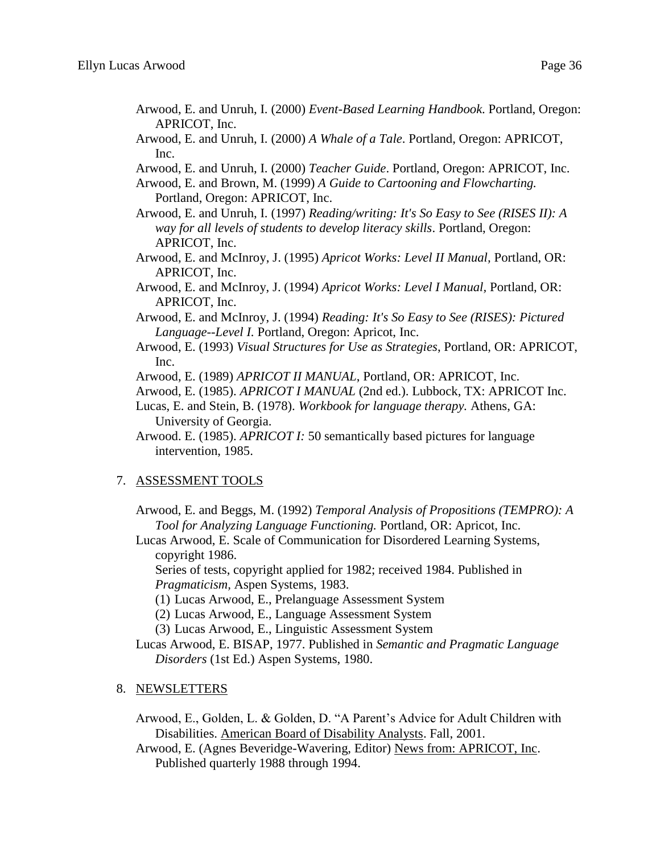- Arwood, E. and Unruh, I. (2000) *Event-Based Learning Handbook*. Portland, Oregon: APRICOT, Inc.
- Arwood, E. and Unruh, I. (2000) *A Whale of a Tale*. Portland, Oregon: APRICOT, Inc.
- Arwood, E. and Unruh, I. (2000) *Teacher Guide*. Portland, Oregon: APRICOT, Inc.

Arwood, E. and Brown, M. (1999) *A Guide to Cartooning and Flowcharting.* Portland, Oregon: APRICOT, Inc.

- Arwood, E. and Unruh, I. (1997) *Reading/writing: It's So Easy to See (RISES II): A way for all levels of students to develop literacy skills*. Portland, Oregon: APRICOT, Inc.
- Arwood, E. and McInroy, J. (1995) *Apricot Works: Level II Manual,* Portland, OR: APRICOT, Inc.
- Arwood, E. and McInroy, J. (1994) *Apricot Works: Level I Manual,* Portland, OR: APRICOT, Inc.
- Arwood, E. and McInroy, J. (1994) *Reading: It's So Easy to See (RISES): Pictured Language--Level I.* Portland, Oregon: Apricot, Inc.
- Arwood, E. (1993) *Visual Structures for Use as Strategies*, Portland, OR: APRICOT, Inc.
- Arwood, E. (1989) *APRICOT II MANUAL*, Portland, OR: APRICOT, Inc.
- Arwood, E. (1985). *APRICOT I MANUAL* (2nd ed.). Lubbock, TX: APRICOT Inc.
- Lucas, E. and Stein, B. (1978). *Workbook for language therapy.* Athens, GA: University of Georgia.
- Arwood. E. (1985). *APRICOT I:* 50 semantically based pictures for language intervention, 1985.

#### 7. ASSESSMENT TOOLS

- Arwood, E. and Beggs, M. (1992) *Temporal Analysis of Propositions (TEMPRO): A Tool for Analyzing Language Functioning.* Portland, OR: Apricot, Inc.
- Lucas Arwood, E. Scale of Communication for Disordered Learning Systems, copyright 1986.

Series of tests, copyright applied for 1982; received 1984. Published in *Pragmaticism,* Aspen Systems, 1983.

- (1) Lucas Arwood, E., Prelanguage Assessment System
- (2) Lucas Arwood, E., Language Assessment System
- (3) Lucas Arwood, E., Linguistic Assessment System
- Lucas Arwood, E. BISAP, 1977. Published in *Semantic and Pragmatic Language Disorders* (1st Ed.) Aspen Systems, 1980.
- 8. NEWSLETTERS

Arwood, E., Golden, L. & Golden, D. "A Parent's Advice for Adult Children with Disabilities. American Board of Disability Analysts. Fall, 2001.

Arwood, E. (Agnes Beveridge-Wavering, Editor) News from: APRICOT, Inc. Published quarterly 1988 through 1994.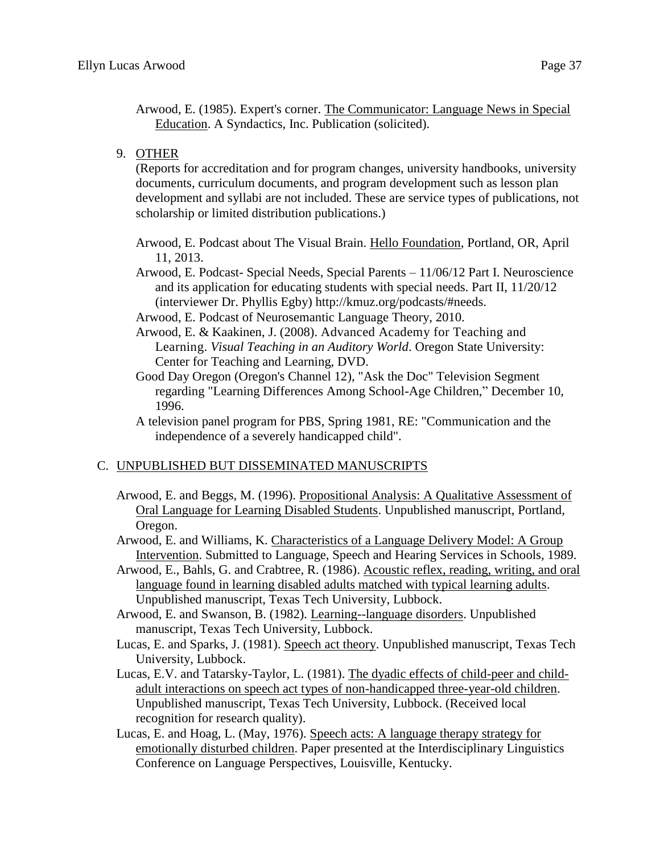Arwood, E. (1985). Expert's corner. The Communicator: Language News in Special Education. A Syndactics, Inc. Publication (solicited).

9. OTHER

(Reports for accreditation and for program changes, university handbooks, university documents, curriculum documents, and program development such as lesson plan development and syllabi are not included. These are service types of publications, not scholarship or limited distribution publications.)

- Arwood, E. Podcast about The Visual Brain. Hello Foundation, Portland, OR, April 11, 2013.
- Arwood, E. Podcast- Special Needs, Special Parents 11/06/12 Part I. Neuroscience and its application for educating students with special needs. Part II, 11/20/12 (interviewer Dr. Phyllis Egby) http://kmuz.org/podcasts/#needs.
- Arwood, E. Podcast of Neurosemantic Language Theory, 2010.
- Arwood, E. & Kaakinen, J. (2008). Advanced Academy for Teaching and Learning. *Visual Teaching in an Auditory World*. Oregon State University: Center for Teaching and Learning, DVD.
- Good Day Oregon (Oregon's Channel 12), "Ask the Doc" Television Segment regarding "Learning Differences Among School-Age Children," December 10, 1996.
- A television panel program for PBS, Spring 1981, RE: "Communication and the independence of a severely handicapped child".

# C. UNPUBLISHED BUT DISSEMINATED MANUSCRIPTS

- Arwood, E. and Beggs, M. (1996). Propositional Analysis: A Qualitative Assessment of Oral Language for Learning Disabled Students. Unpublished manuscript, Portland, Oregon.
- Arwood, E. and Williams, K. Characteristics of a Language Delivery Model: A Group Intervention. Submitted to Language, Speech and Hearing Services in Schools, 1989.
- Arwood, E., Bahls, G. and Crabtree, R. (1986). Acoustic reflex, reading, writing, and oral language found in learning disabled adults matched with typical learning adults. Unpublished manuscript, Texas Tech University, Lubbock.
- Arwood, E. and Swanson, B. (1982). Learning--language disorders. Unpublished manuscript, Texas Tech University, Lubbock.
- Lucas, E. and Sparks, J. (1981). Speech act theory. Unpublished manuscript, Texas Tech University, Lubbock.
- Lucas, E.V. and Tatarsky-Taylor, L. (1981). The dyadic effects of child-peer and childadult interactions on speech act types of non-handicapped three-year-old children. Unpublished manuscript, Texas Tech University, Lubbock. (Received local recognition for research quality).
- Lucas, E. and Hoag, L. (May, 1976). Speech acts: A language therapy strategy for emotionally disturbed children. Paper presented at the Interdisciplinary Linguistics Conference on Language Perspectives, Louisville, Kentucky.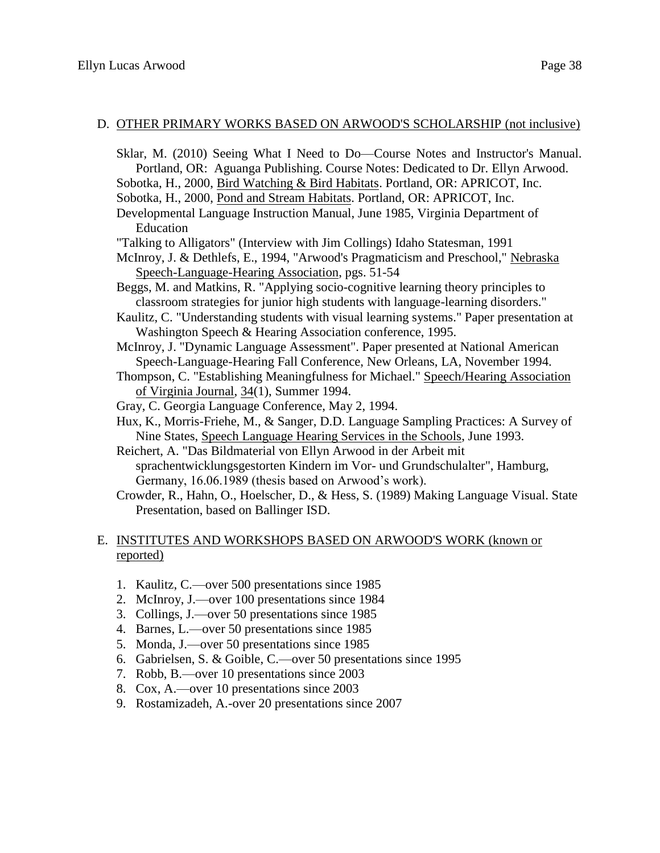#### D. OTHER PRIMARY WORKS BASED ON ARWOOD'S SCHOLARSHIP (not inclusive)

- Sklar, M. (2010) Seeing What I Need to Do—Course Notes and Instructor's Manual. Portland, OR: Aguanga Publishing. Course Notes: Dedicated to Dr. Ellyn Arwood.
- Sobotka, H., 2000, Bird Watching & Bird Habitats. Portland, OR: APRICOT, Inc.
- Sobotka, H., 2000, Pond and Stream Habitats. Portland, OR: APRICOT, Inc.
- Developmental Language Instruction Manual, June 1985, Virginia Department of Education
- "Talking to Alligators" (Interview with Jim Collings) Idaho Statesman, 1991
- McInroy, J. & Dethlefs, E., 1994, "Arwood's Pragmaticism and Preschool," Nebraska Speech-Language-Hearing Association, pgs. 51-54
- Beggs, M. and Matkins, R. "Applying socio-cognitive learning theory principles to classroom strategies for junior high students with language-learning disorders."
- Kaulitz, C. "Understanding students with visual learning systems." Paper presentation at Washington Speech & Hearing Association conference, 1995.
- McInroy, J. "Dynamic Language Assessment". Paper presented at National American Speech-Language-Hearing Fall Conference, New Orleans, LA, November 1994.
- Thompson, C. "Establishing Meaningfulness for Michael." Speech/Hearing Association of Virginia Journal, 34(1), Summer 1994.
- Gray, C. Georgia Language Conference, May 2, 1994.
- Hux, K., Morris-Friehe, M., & Sanger, D.D. Language Sampling Practices: A Survey of Nine States, Speech Language Hearing Services in the Schools, June 1993.
- Reichert, A. "Das Bildmaterial von Ellyn Arwood in der Arbeit mit sprachentwicklungsgestorten Kindern im Vor- und Grundschulalter", Hamburg, Germany, 16.06.1989 (thesis based on Arwood's work).
- Crowder, R., Hahn, O., Hoelscher, D., & Hess, S. (1989) Making Language Visual. State Presentation, based on Ballinger ISD.

## E. INSTITUTES AND WORKSHOPS BASED ON ARWOOD'S WORK (known or reported)

- 1. Kaulitz, C.—over 500 presentations since 1985
- 2. McInroy, J.—over 100 presentations since 1984
- 3. Collings, J.—over 50 presentations since 1985
- 4. Barnes, L.—over 50 presentations since 1985
- 5. Monda, J.—over 50 presentations since 1985
- 6. Gabrielsen, S. & Goible, C.—over 50 presentations since 1995
- 7. Robb, B.—over 10 presentations since 2003
- 8. Cox, A.—over 10 presentations since 2003
- 9. Rostamizadeh, A.-over 20 presentations since 2007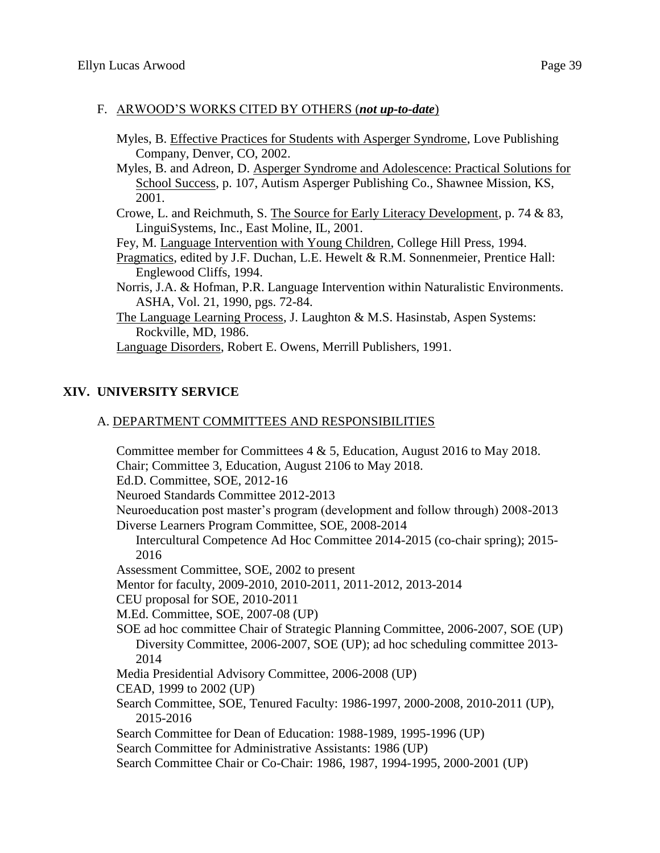#### F. ARWOOD'S WORKS CITED BY OTHERS (*not up-to-date*)

- Myles, B. Effective Practices for Students with Asperger Syndrome, Love Publishing Company, Denver, CO, 2002.
- Myles, B. and Adreon, D. Asperger Syndrome and Adolescence: Practical Solutions for School Success, p. 107, Autism Asperger Publishing Co., Shawnee Mission, KS, 2001.
- Crowe, L. and Reichmuth, S. The Source for Early Literacy Development, p. 74 & 83, LinguiSystems, Inc., East Moline, IL, 2001.

Fey, M. Language Intervention with Young Children, College Hill Press, 1994.

- Pragmatics, edited by J.F. Duchan, L.E. Hewelt & R.M. Sonnenmeier, Prentice Hall: Englewood Cliffs, 1994.
- Norris, J.A. & Hofman, P.R. Language Intervention within Naturalistic Environments. ASHA, Vol. 21, 1990, pgs. 72-84.
- The Language Learning Process, J. Laughton & M.S. Hasinstab, Aspen Systems: Rockville, MD, 1986.

Language Disorders, Robert E. Owens, Merrill Publishers, 1991.

# **XIV. UNIVERSITY SERVICE**

## A. DEPARTMENT COMMITTEES AND RESPONSIBILITIES

Committee member for Committees  $4 \& 5$ , Education, August 2016 to May 2018. Chair; Committee 3, Education, August 2106 to May 2018. Ed.D. Committee, SOE, 2012-16 Neuroed Standards Committee 2012-2013 Neuroeducation post master's program (development and follow through) 2008-2013 Diverse Learners Program Committee, SOE, 2008-2014 Intercultural Competence Ad Hoc Committee 2014-2015 (co-chair spring); 2015- 2016 Assessment Committee, SOE, 2002 to present Mentor for faculty, 2009-2010, 2010-2011, 2011-2012, 2013-2014 CEU proposal for SOE, 2010-2011 M.Ed. Committee, SOE, 2007-08 (UP) SOE ad hoc committee Chair of Strategic Planning Committee, 2006-2007, SOE (UP) Diversity Committee, 2006-2007, SOE (UP); ad hoc scheduling committee 2013- 2014 Media Presidential Advisory Committee, 2006-2008 (UP) CEAD, 1999 to 2002 (UP) Search Committee, SOE, Tenured Faculty: 1986-1997, 2000-2008, 2010-2011 (UP), 2015-2016 Search Committee for Dean of Education: 1988-1989, 1995-1996 (UP) Search Committee for Administrative Assistants: 1986 (UP) Search Committee Chair or Co-Chair: 1986, 1987, 1994-1995, 2000-2001 (UP)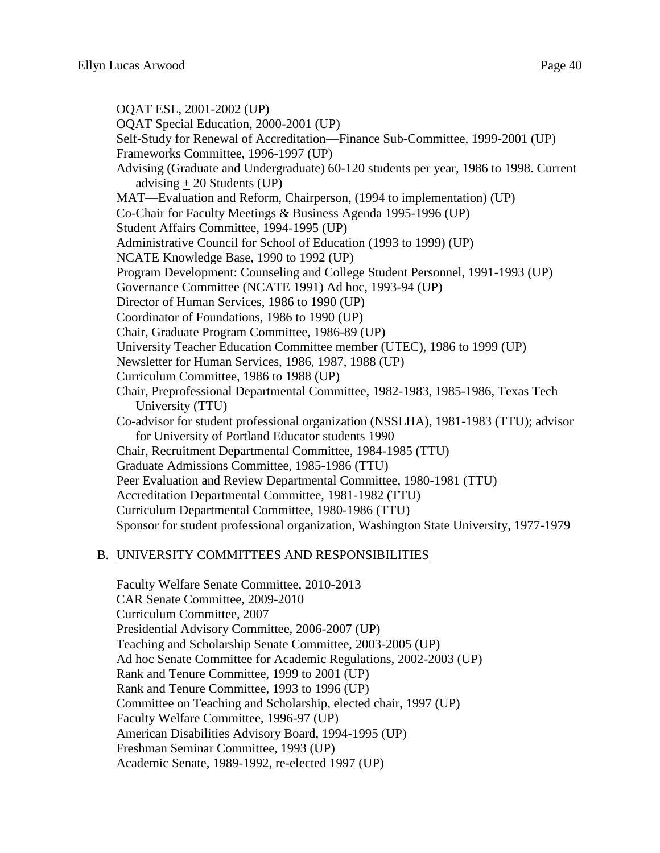OQAT ESL, 2001-2002 (UP) OQAT Special Education, 2000-2001 (UP) Self-Study for Renewal of Accreditation—Finance Sub-Committee, 1999-2001 (UP) Frameworks Committee, 1996-1997 (UP) Advising (Graduate and Undergraduate) 60-120 students per year, 1986 to 1998. Current advising  $+ 20$  Students (UP) MAT—Evaluation and Reform, Chairperson, (1994 to implementation) (UP) Co-Chair for Faculty Meetings & Business Agenda 1995-1996 (UP) Student Affairs Committee, 1994-1995 (UP) Administrative Council for School of Education (1993 to 1999) (UP) NCATE Knowledge Base, 1990 to 1992 (UP) Program Development: Counseling and College Student Personnel, 1991-1993 (UP) Governance Committee (NCATE 1991) Ad hoc, 1993-94 (UP) Director of Human Services, 1986 to 1990 (UP) Coordinator of Foundations, 1986 to 1990 (UP) Chair, Graduate Program Committee, 1986-89 (UP) University Teacher Education Committee member (UTEC), 1986 to 1999 (UP) Newsletter for Human Services, 1986, 1987, 1988 (UP) Curriculum Committee, 1986 to 1988 (UP) Chair, Preprofessional Departmental Committee, 1982-1983, 1985-1986, Texas Tech University (TTU) Co-advisor for student professional organization (NSSLHA), 1981-1983 (TTU); advisor for University of Portland Educator students 1990 Chair, Recruitment Departmental Committee, 1984-1985 (TTU) Graduate Admissions Committee, 1985-1986 (TTU) Peer Evaluation and Review Departmental Committee, 1980-1981 (TTU) Accreditation Departmental Committee, 1981-1982 (TTU) Curriculum Departmental Committee, 1980-1986 (TTU) Sponsor for student professional organization, Washington State University, 1977-1979

#### B. UNIVERSITY COMMITTEES AND RESPONSIBILITIES

Faculty Welfare Senate Committee, 2010-2013 CAR Senate Committee, 2009-2010 Curriculum Committee, 2007 Presidential Advisory Committee, 2006-2007 (UP) Teaching and Scholarship Senate Committee, 2003-2005 (UP) Ad hoc Senate Committee for Academic Regulations, 2002-2003 (UP) Rank and Tenure Committee, 1999 to 2001 (UP) Rank and Tenure Committee, 1993 to 1996 (UP) Committee on Teaching and Scholarship, elected chair, 1997 (UP) Faculty Welfare Committee, 1996-97 (UP) American Disabilities Advisory Board, 1994-1995 (UP) Freshman Seminar Committee, 1993 (UP) Academic Senate, 1989-1992, re-elected 1997 (UP)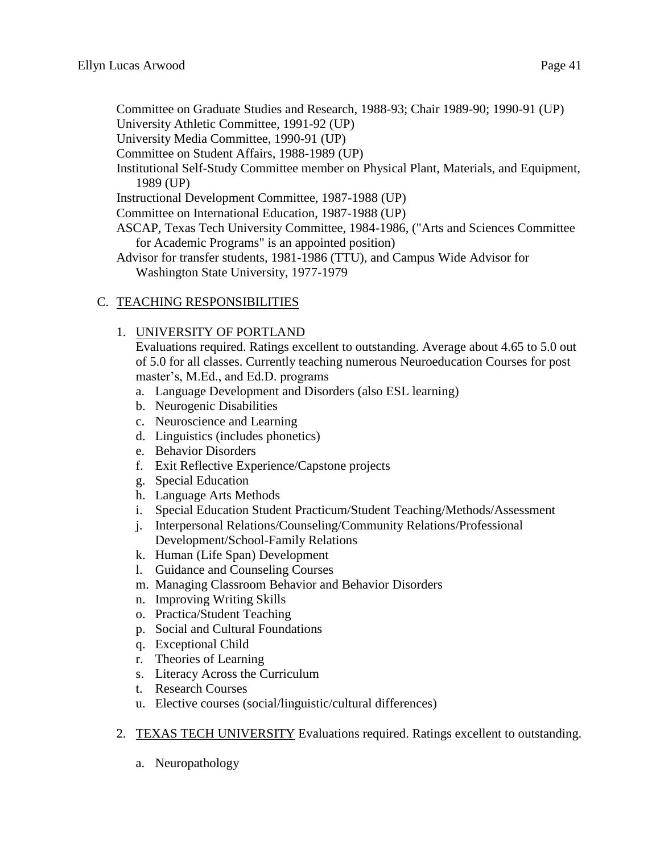Committee on Graduate Studies and Research, 1988-93; Chair 1989-90; 1990-91 (UP)

University Athletic Committee, 1991-92 (UP)

University Media Committee, 1990-91 (UP)

Committee on Student Affairs, 1988-1989 (UP)

Institutional Self-Study Committee member on Physical Plant, Materials, and Equipment, 1989 (UP)

Instructional Development Committee, 1987-1988 (UP)

Committee on International Education, 1987-1988 (UP)

ASCAP, Texas Tech University Committee, 1984-1986, ("Arts and Sciences Committee for Academic Programs" is an appointed position)

Advisor for transfer students, 1981-1986 (TTU), and Campus Wide Advisor for Washington State University, 1977-1979

# C. TEACHING RESPONSIBILITIES

# 1. UNIVERSITY OF PORTLAND

Evaluations required. Ratings excellent to outstanding. Average about 4.65 to 5.0 out of 5.0 for all classes. Currently teaching numerous Neuroeducation Courses for post master's, M.Ed., and Ed.D. programs

- a. Language Development and Disorders (also ESL learning)
- b. Neurogenic Disabilities
- c. Neuroscience and Learning
- d. Linguistics (includes phonetics)
- e. Behavior Disorders
- f. Exit Reflective Experience/Capstone projects
- g. Special Education
- h. Language Arts Methods
- i. Special Education Student Practicum/Student Teaching/Methods/Assessment
- j. Interpersonal Relations/Counseling/Community Relations/Professional Development/School-Family Relations
- k. Human (Life Span) Development
- l. Guidance and Counseling Courses
- m. Managing Classroom Behavior and Behavior Disorders
- n. Improving Writing Skills
- o. Practica/Student Teaching
- p. Social and Cultural Foundations
- q. Exceptional Child
- r. Theories of Learning
- s. Literacy Across the Curriculum
- t. Research Courses
- u. Elective courses (social/linguistic/cultural differences)
- 2. TEXAS TECH UNIVERSITY Evaluations required. Ratings excellent to outstanding.
	- a. Neuropathology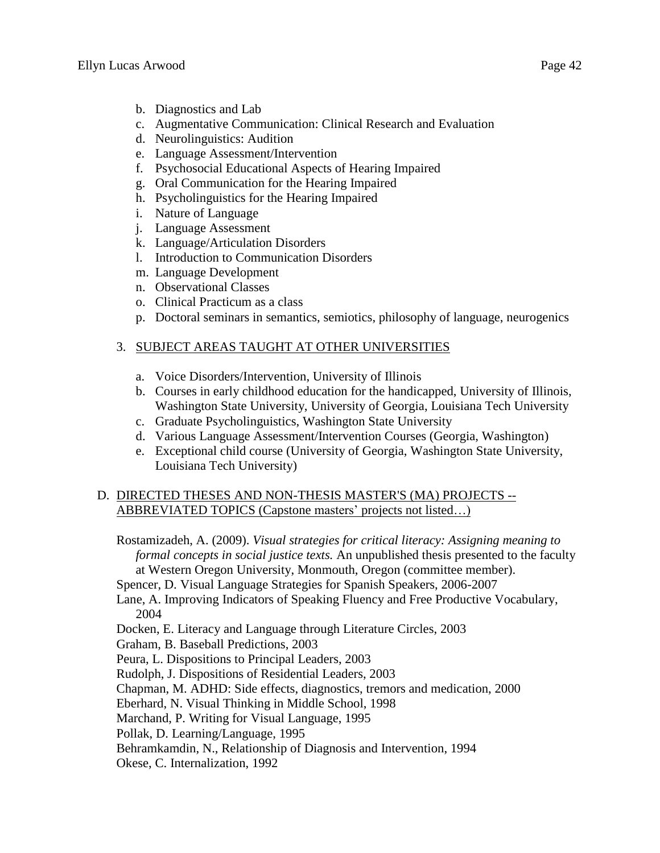- b. Diagnostics and Lab
- c. Augmentative Communication: Clinical Research and Evaluation
- d. Neurolinguistics: Audition
- e. Language Assessment/Intervention
- f. Psychosocial Educational Aspects of Hearing Impaired
- g. Oral Communication for the Hearing Impaired
- h. Psycholinguistics for the Hearing Impaired
- i. Nature of Language
- j. Language Assessment
- k. Language/Articulation Disorders
- l. Introduction to Communication Disorders
- m. Language Development
- n. Observational Classes
- o. Clinical Practicum as a class
- p. Doctoral seminars in semantics, semiotics, philosophy of language, neurogenics

# 3. SUBJECT AREAS TAUGHT AT OTHER UNIVERSITIES

- a. Voice Disorders/Intervention, University of Illinois
- b. Courses in early childhood education for the handicapped, University of Illinois, Washington State University, University of Georgia, Louisiana Tech University
- c. Graduate Psycholinguistics, Washington State University
- d. Various Language Assessment/Intervention Courses (Georgia, Washington)
- e. Exceptional child course (University of Georgia, Washington State University, Louisiana Tech University)

# D. DIRECTED THESES AND NON-THESIS MASTER'S (MA) PROJECTS -- ABBREVIATED TOPICS (Capstone masters' projects not listed…)

Rostamizadeh, A. (2009). *Visual strategies for critical literacy: Assigning meaning to formal concepts in social justice texts.* An unpublished thesis presented to the faculty at Western Oregon University, Monmouth, Oregon (committee member).

Spencer, D. Visual Language Strategies for Spanish Speakers, 2006-2007

Lane, A. Improving Indicators of Speaking Fluency and Free Productive Vocabulary, 2004

Docken, E. Literacy and Language through Literature Circles, 2003

Graham, B. Baseball Predictions, 2003

Peura, L. Dispositions to Principal Leaders, 2003

Rudolph, J. Dispositions of Residential Leaders, 2003

Chapman, M. ADHD: Side effects, diagnostics, tremors and medication, 2000

Eberhard, N. Visual Thinking in Middle School, 1998

Marchand, P. Writing for Visual Language, 1995

Pollak, D. Learning/Language, 1995

Behramkamdin, N., Relationship of Diagnosis and Intervention, 1994

Okese, C. Internalization, 1992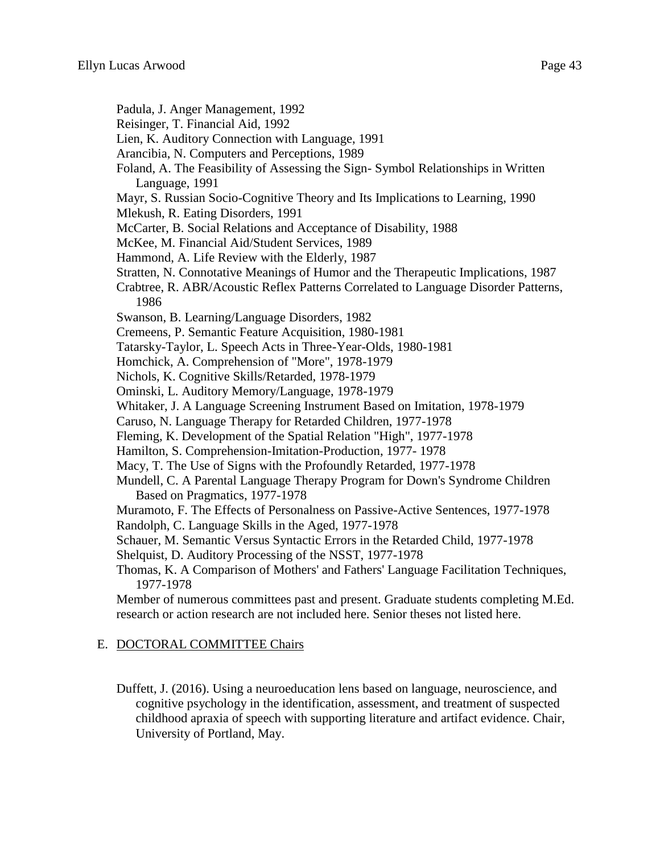- Padula, J. Anger Management, 1992
- Reisinger, T. Financial Aid, 1992
- Lien, K. Auditory Connection with Language, 1991
- Arancibia, N. Computers and Perceptions, 1989
- Foland, A. The Feasibility of Assessing the Sign- Symbol Relationships in Written Language, 1991
- Mayr, S. Russian Socio-Cognitive Theory and Its Implications to Learning, 1990
- Mlekush, R. Eating Disorders, 1991
- McCarter, B. Social Relations and Acceptance of Disability, 1988
- McKee, M. Financial Aid/Student Services, 1989
- Hammond, A. Life Review with the Elderly, 1987
- Stratten, N. Connotative Meanings of Humor and the Therapeutic Implications, 1987
- Crabtree, R. ABR/Acoustic Reflex Patterns Correlated to Language Disorder Patterns, 1986
- Swanson, B. Learning/Language Disorders, 1982
- Cremeens, P. Semantic Feature Acquisition, 1980-1981
- Tatarsky-Taylor, L. Speech Acts in Three-Year-Olds, 1980-1981
- Homchick, A. Comprehension of "More", 1978-1979
- Nichols, K. Cognitive Skills/Retarded, 1978-1979
- Ominski, L. Auditory Memory/Language, 1978-1979
- Whitaker, J. A Language Screening Instrument Based on Imitation, 1978-1979
- Caruso, N. Language Therapy for Retarded Children, 1977-1978
- Fleming, K. Development of the Spatial Relation "High", 1977-1978
- Hamilton, S. Comprehension-Imitation-Production, 1977- 1978
- Macy, T. The Use of Signs with the Profoundly Retarded, 1977-1978
- Mundell, C. A Parental Language Therapy Program for Down's Syndrome Children Based on Pragmatics, 1977-1978
- Muramoto, F. The Effects of Personalness on Passive-Active Sentences, 1977-1978 Randolph, C. Language Skills in the Aged, 1977-1978
- Schauer, M. Semantic Versus Syntactic Errors in the Retarded Child, 1977-1978
- Shelquist, D. Auditory Processing of the NSST, 1977-1978
- Thomas, K. A Comparison of Mothers' and Fathers' Language Facilitation Techniques, 1977-1978

Member of numerous committees past and present. Graduate students completing M.Ed. research or action research are not included here. Senior theses not listed here.

#### E. DOCTORAL COMMITTEE Chairs

Duffett, J. (2016). Using a neuroeducation lens based on language, neuroscience, and cognitive psychology in the identification, assessment, and treatment of suspected childhood apraxia of speech with supporting literature and artifact evidence. Chair, University of Portland, May.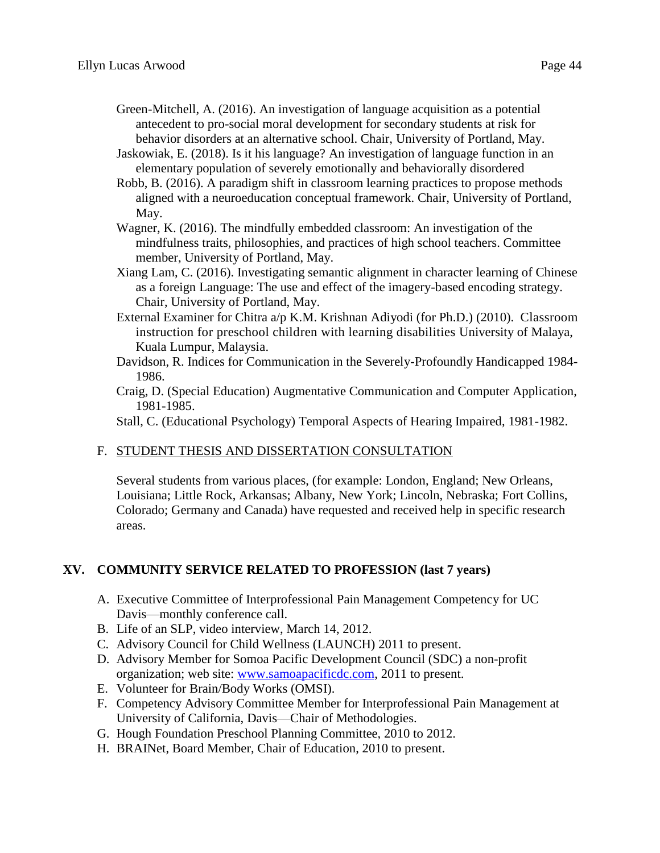Green-Mitchell, A. (2016). An investigation of language acquisition as a potential antecedent to pro-social moral development for secondary students at risk for behavior disorders at an alternative school. Chair, University of Portland, May.

- Jaskowiak, E. (2018). Is it his language? An investigation of language function in an elementary population of severely emotionally and behaviorally disordered
- Robb, B. (2016). A paradigm shift in classroom learning practices to propose methods aligned with a neuroeducation conceptual framework. Chair, University of Portland, May.
- Wagner, K. (2016). The mindfully embedded classroom: An investigation of the mindfulness traits, philosophies, and practices of high school teachers. Committee member, University of Portland, May.
- Xiang Lam, C. (2016). Investigating semantic alignment in character learning of Chinese as a foreign Language: The use and effect of the imagery-based encoding strategy. Chair, University of Portland, May.
- External Examiner for Chitra a/p K.M. Krishnan Adiyodi (for Ph.D.) (2010). Classroom instruction for preschool children with learning disabilities University of Malaya, Kuala Lumpur, Malaysia.
- Davidson, R. Indices for Communication in the Severely-Profoundly Handicapped 1984- 1986.
- Craig, D. (Special Education) Augmentative Communication and Computer Application, 1981-1985.

Stall, C. (Educational Psychology) Temporal Aspects of Hearing Impaired, 1981-1982.

# F. STUDENT THESIS AND DISSERTATION CONSULTATION

Several students from various places, (for example: London, England; New Orleans, Louisiana; Little Rock, Arkansas; Albany, New York; Lincoln, Nebraska; Fort Collins, Colorado; Germany and Canada) have requested and received help in specific research areas.

# **XV. COMMUNITY SERVICE RELATED TO PROFESSION (last 7 years)**

- A. Executive Committee of Interprofessional Pain Management Competency for UC Davis—monthly conference call.
- B. Life of an SLP, video interview, March 14, 2012.
- C. Advisory Council for Child Wellness (LAUNCH) 2011 to present.
- D. Advisory Member for Somoa Pacific Development Council (SDC) a non-profit organization; web site: [www.samoapacificdc.com,](http://www.samoapacificdc.com/) 2011 to present.
- E. Volunteer for Brain/Body Works (OMSI).
- F. Competency Advisory Committee Member for Interprofessional Pain Management at University of California, Davis—Chair of Methodologies.
- G. Hough Foundation Preschool Planning Committee, 2010 to 2012.
- H. BRAINet, Board Member, Chair of Education, 2010 to present.